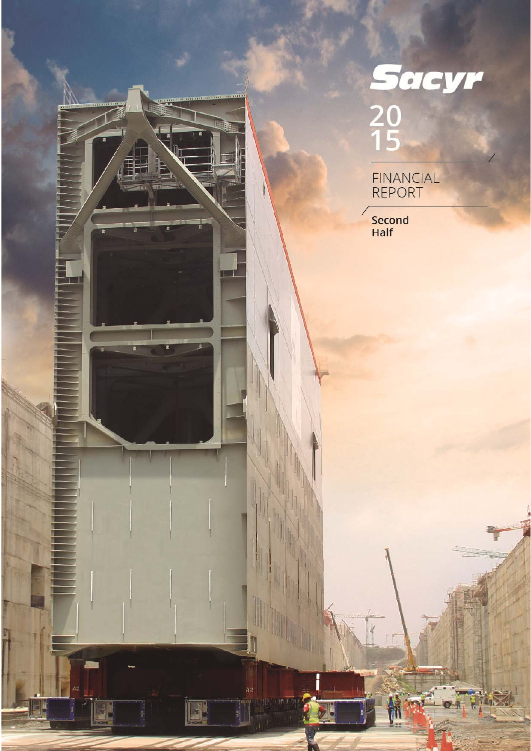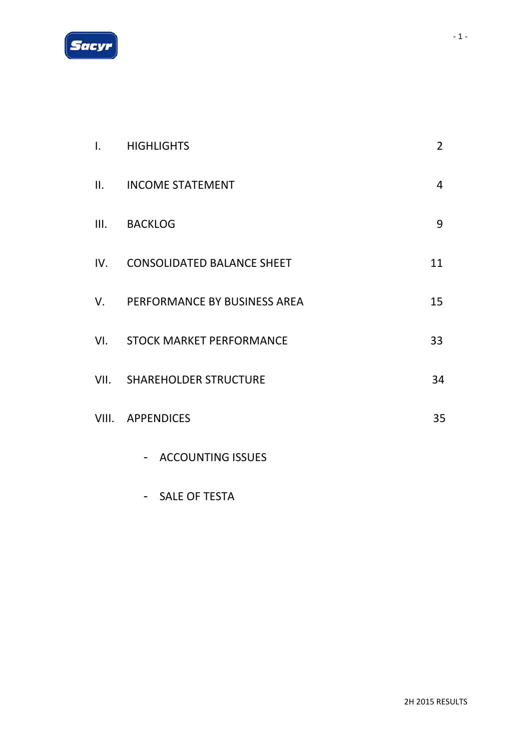

| $\mathbf{I}$ . | <b>HIGHLIGHTS</b>                                    | $\overline{2}$ |
|----------------|------------------------------------------------------|----------------|
| II.            | <b>INCOME STATEMENT</b>                              | $\overline{4}$ |
| III.           | <b>BACKLOG</b>                                       | 9              |
|                | IV. CONSOLIDATED BALANCE SHEET                       | 11             |
|                | V. PERFORMANCE BY BUSINESS AREA                      | 15             |
|                | VI. STOCK MARKET PERFORMANCE                         | 33             |
|                | <b>VII. SHAREHOLDER STRUCTURE</b>                    | 34             |
|                | VIII. APPENDICES                                     | 35             |
|                | <b>ACCOUNTING ISSUES</b><br>$\overline{\phantom{a}}$ |                |

# - SALE OF TESTA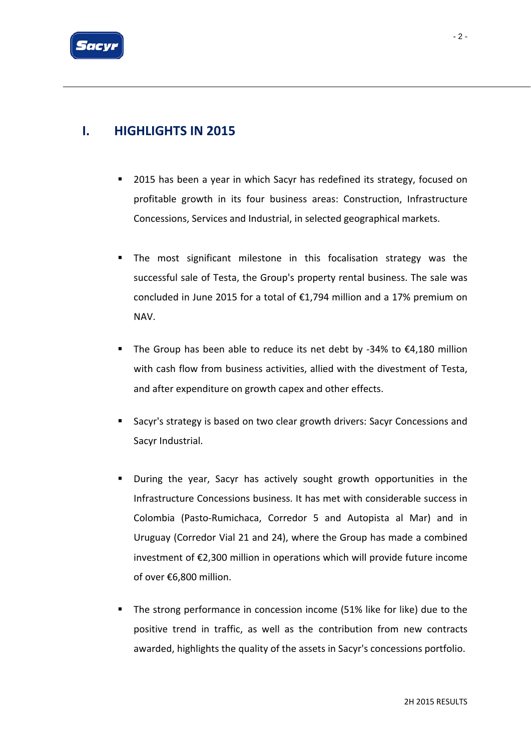

## **I. HIGHLIGHTS IN 2015**

- 2015 has been a year in which Sacyr has redefined its strategy, focused on profitable growth in its four business areas: Construction, Infrastructure Concessions, Services and Industrial, in selected geographical markets.
- **The most significant milestone in this focalisation strategy was the** successful sale of Testa, the Group's property rental business. The sale was concluded in June 2015 for a total of €1,794 million and a 17% premium on NAV.
- The Group has been able to reduce its net debt by ‐34% to €4,180 million with cash flow from business activities, allied with the divestment of Testa, and after expenditure on growth capex and other effects.
- Sacyr's strategy is based on two clear growth drivers: Sacyr Concessions and Sacyr Industrial.
- During the year, Sacyr has actively sought growth opportunities in the Infrastructure Concessions business. It has met with considerable success in Colombia (Pasto‐Rumichaca, Corredor 5 and Autopista al Mar) and in Uruguay (Corredor Vial 21 and 24), where the Group has made a combined investment of €2,300 million in operations which will provide future income of over €6,800 million.
- The strong performance in concession income (51% like for like) due to the positive trend in traffic, as well as the contribution from new contracts awarded, highlights the quality of the assets in Sacyr's concessions portfolio.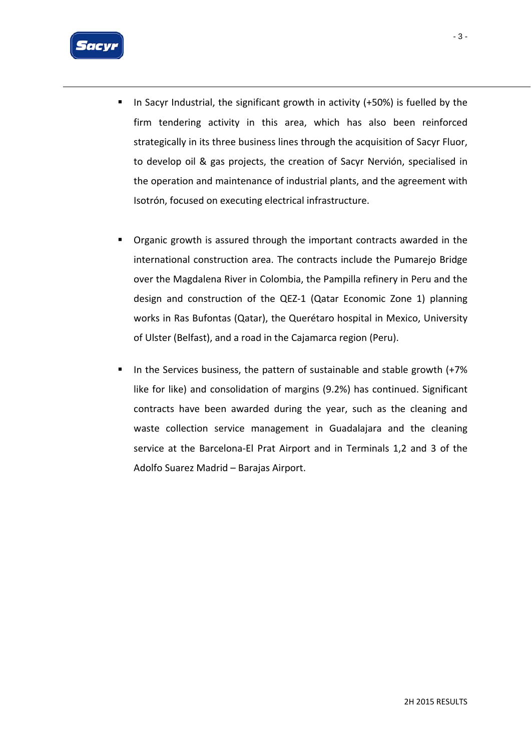

- In Sacyr Industrial, the significant growth in activity (+50%) is fuelled by the firm tendering activity in this area, which has also been reinforced strategically in its three business lines through the acquisition of Sacyr Fluor, to develop oil & gas projects, the creation of Sacyr Nervión, specialised in the operation and maintenance of industrial plants, and the agreement with Isotrón, focused on executing electrical infrastructure.
- Organic growth is assured through the important contracts awarded in the international construction area. The contracts include the Pumarejo Bridge over the Magdalena River in Colombia, the Pampilla refinery in Peru and the design and construction of the QEZ‐1 (Qatar Economic Zone 1) planning works in Ras Bufontas (Qatar), the Querétaro hospital in Mexico, University of Ulster (Belfast), and a road in the Cajamarca region (Peru).
- In the Services business, the pattern of sustainable and stable growth (+7% like for like) and consolidation of margins (9.2%) has continued. Significant contracts have been awarded during the year, such as the cleaning and waste collection service management in Guadalajara and the cleaning service at the Barcelona‐El Prat Airport and in Terminals 1,2 and 3 of the Adolfo Suarez Madrid – Barajas Airport.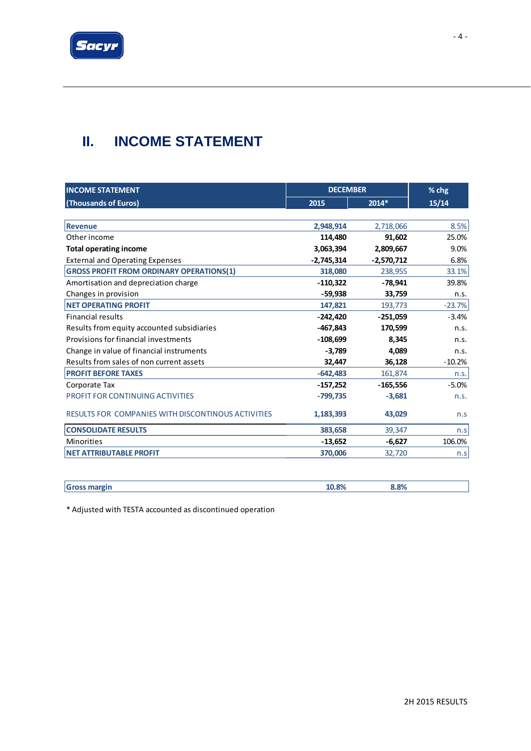

# **II. INCOME STATEMENT**

| <b>INCOME STATEMENT</b>                                   |              | <b>DECEMBER</b> |          |  |  |
|-----------------------------------------------------------|--------------|-----------------|----------|--|--|
| (Thousands of Euros)                                      | 2015         | 2014*           | 15/14    |  |  |
| <b>Revenue</b>                                            |              |                 |          |  |  |
|                                                           | 2,948,914    | 2,718,066       | 8.5%     |  |  |
| Other income                                              | 114,480      | 91,602          | 25.0%    |  |  |
| <b>Total operating income</b>                             | 3,063,394    | 2,809,667       | 9.0%     |  |  |
| <b>External and Operating Expenses</b>                    | $-2,745,314$ | $-2,570,712$    | 6.8%     |  |  |
| <b>GROSS PROFIT FROM ORDINARY OPERATIONS(1)</b>           | 318,080      | 238,955         | 33.1%    |  |  |
| Amortisation and depreciation charge                      | $-110,322$   | $-78,941$       | 39.8%    |  |  |
| Changes in provision                                      | $-59,938$    | 33,759          | n.s.     |  |  |
| <b>NET OPERATING PROFIT</b>                               | 147,821      | 193,773         | $-23.7%$ |  |  |
| <b>Financial results</b>                                  | $-242,420$   | $-251,059$      | $-3.4%$  |  |  |
| Results from equity accounted subsidiaries                | $-467,843$   | 170,599         | n.s.     |  |  |
| Provisions for financial investments                      | $-108,699$   | 8,345           | n.s.     |  |  |
| Change in value of financial instruments                  | $-3,789$     | 4,089           | n.s.     |  |  |
| Results from sales of non current assets                  | 32,447       | 36,128          | $-10.2%$ |  |  |
| <b>PROFIT BEFORE TAXES</b>                                | $-642,483$   | 161,874         | n.s.     |  |  |
| Corporate Tax                                             | $-157,252$   | $-165,556$      | $-5.0%$  |  |  |
| PROFIT FOR CONTINUING ACTIVITIES                          | $-799,735$   | $-3,681$        | n.S.     |  |  |
| <b>RESULTS FOR COMPANIES WITH DISCONTINOUS ACTIVITIES</b> | 1,183,393    | 43,029          | n.s      |  |  |
| <b>CONSOLIDATE RESULTS</b>                                | 383,658      | 39,347          | n.s      |  |  |
| <b>Minorities</b>                                         | $-13,652$    | $-6,627$        | 106.0%   |  |  |
| <b>NET ATTRIBUTABLE PROFIT</b>                            | 370,006      | 32,720          | n.s      |  |  |

| 'Gross mai | ∽ | . nn | 8.8% |  |
|------------|---|------|------|--|

\* Adjusted with TESTA accounted as discontinued operation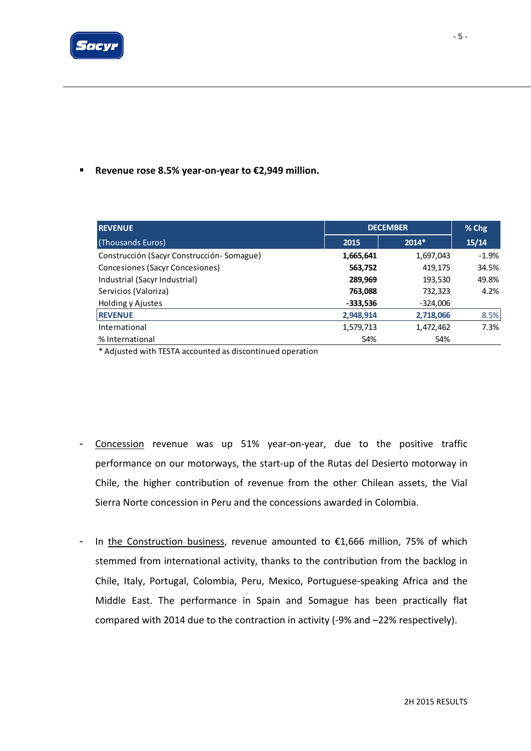

#### ■ Revenue rose 8.5% year-on-year to €2,949 million.

| <b>REVENUE</b>                            |            | <b>DECEMBER</b> |         |  |
|-------------------------------------------|------------|-----------------|---------|--|
| (Thousands Euros)                         | 2015       | $2014*$         | 15/14   |  |
| Construcción (Sacyr Construcción-Somague) | 1,665,641  | 1,697,043       | $-1.9%$ |  |
| Concesiones (Sacyr Concesiones)           | 563,752    | 419,175         | 34.5%   |  |
| Industrial (Sacyr Industrial)             | 289,969    | 193,530         | 49.8%   |  |
| Servicios (Valoriza)                      | 763,088    | 732,323         | 4.2%    |  |
| Holding y Ajustes                         | $-333,536$ | $-324,006$      |         |  |
| <b>REVENUE</b>                            | 2,948,914  | 2,718,066       | 8.5%    |  |
| International                             | 1,579,713  | 1,472,462       | 7.3%    |  |
| % International                           | 54%        | 54%             |         |  |

\* Adjusted with TESTA accounted as discontinued operation

- Concession revenue was up 51% year‐on‐year, due to the positive traffic performance on our motorways, the start‐up of the Rutas del Desierto motorway in Chile, the higher contribution of revenue from the other Chilean assets, the Vial Sierra Norte concession in Peru and the concessions awarded in Colombia.
- In the Construction business, revenue amounted to €1,666 million, 75% of which stemmed from international activity, thanks to the contribution from the backlog in Chile, Italy, Portugal, Colombia, Peru, Mexico, Portuguese‐speaking Africa and the Middle East. The performance in Spain and Somague has been practically flat compared with 2014 due to the contraction in activity (‐9% and –22% respectively).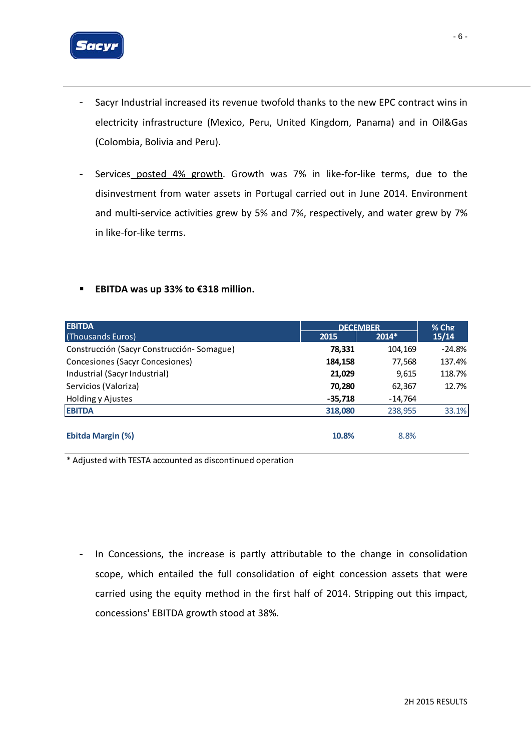

- Sacyr Industrial increased its revenue twofold thanks to the new EPC contract wins in electricity infrastructure (Mexico, Peru, United Kingdom, Panama) and in Oil&Gas (Colombia, Bolivia and Peru).
- Services posted 4% growth. Growth was 7% in like-for-like terms, due to the disinvestment from water assets in Portugal carried out in June 2014. Environment and multi-service activities grew by 5% and 7%, respectively, and water grew by 7% in like‐for‐like terms.
- **EBITDA was up 33% to €318 million.**

| <b>EBITDA</b>                             | <b>DECEMBER</b> | $%$ Chg   |          |
|-------------------------------------------|-----------------|-----------|----------|
| (Thousands Euros)                         | 2015            | $2014*$   | 15/14    |
| Construcción (Sacyr Construcción-Somague) | 78,331          | 104,169   | $-24.8%$ |
| Concesiones (Sacyr Concesiones)           | 184,158         | 77,568    | 137.4%   |
| Industrial (Sacyr Industrial)             | 21,029          | 9,615     | 118.7%   |
| Servicios (Valoriza)                      | 70,280          | 62,367    | 12.7%    |
| Holding y Ajustes                         | $-35,718$       | $-14,764$ |          |
| <b>EBITDA</b>                             | 318,080         | 238,955   | 33.1%    |
|                                           |                 |           |          |
| <b>Ebitda Margin (%)</b>                  | 10.8%           | 8.8%      |          |

\* Adjusted with TESTA accounted as discontinued operation

- In Concessions, the increase is partly attributable to the change in consolidation scope, which entailed the full consolidation of eight concession assets that were carried using the equity method in the first half of 2014. Stripping out this impact, concessions' EBITDA growth stood at 38%.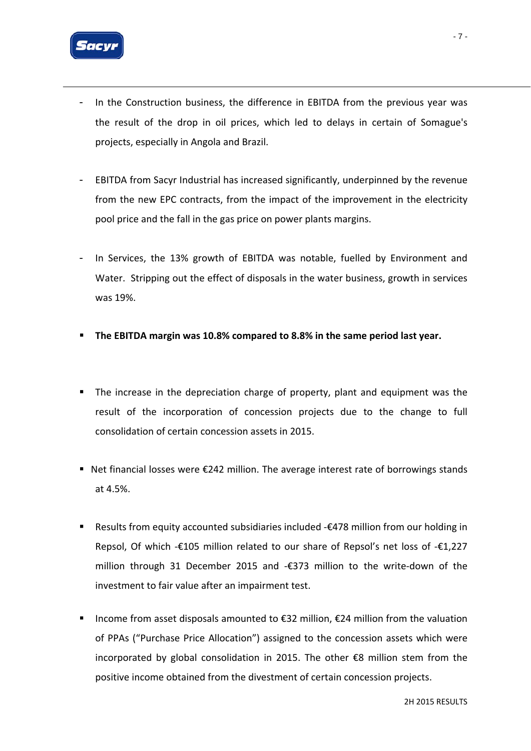

- In the Construction business, the difference in EBITDA from the previous year was the result of the drop in oil prices, which led to delays in certain of Somague's projects, especially in Angola and Brazil.
- EBITDA from Sacyr Industrial has increased significantly, underpinned by the revenue from the new EPC contracts, from the impact of the improvement in the electricity pool price and the fall in the gas price on power plants margins.
- In Services, the 13% growth of EBITDA was notable, fuelled by Environment and Water. Stripping out the effect of disposals in the water business, growth in services was 19%.
- **The EBITDA margin was 10.8% compared to 8.8% in the same period last year.**
- **The increase in the depreciation charge of property, plant and equipment was the** result of the incorporation of concession projects due to the change to full consolidation of certain concession assets in 2015.
- Net financial losses were €242 million. The average interest rate of borrowings stands at 4.5%.
- Results from equity accounted subsidiaries included -€478 million from our holding in Repsol, Of which -€105 million related to our share of Repsol's net loss of -€1,227 million through 31 December 2015 and ‐€373 million to the write‐down of the investment to fair value after an impairment test.
- Income from asset disposals amounted to €32 million, €24 million from the valuation of PPAs ("Purchase Price Allocation") assigned to the concession assets which were incorporated by global consolidation in 2015. The other €8 million stem from the positive income obtained from the divestment of certain concession projects.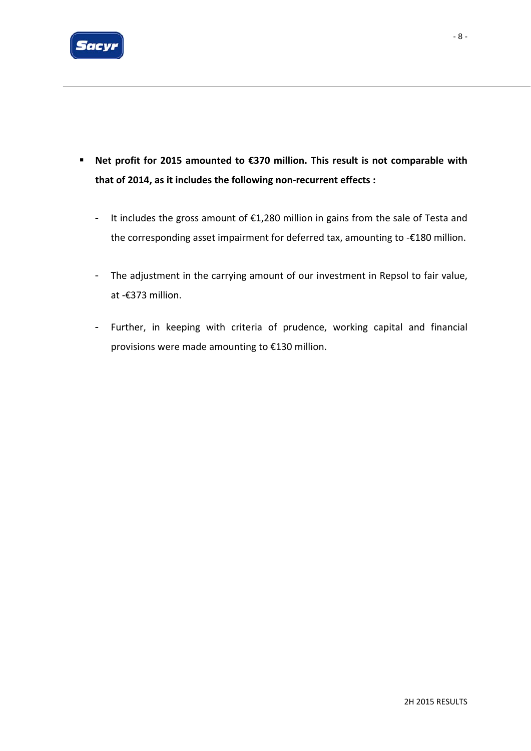

- **Net profit for 2015 amounted to €370 million. This result is not comparable with that of 2014, as it includes the following non‐recurrent effects :**
	- It includes the gross amount of €1,280 million in gains from the sale of Testa and the corresponding asset impairment for deferred tax, amounting to ‐€180 million.
	- The adjustment in the carrying amount of our investment in Repsol to fair value, at ‐€373 million.
	- Further, in keeping with criteria of prudence, working capital and financial provisions were made amounting to €130 million.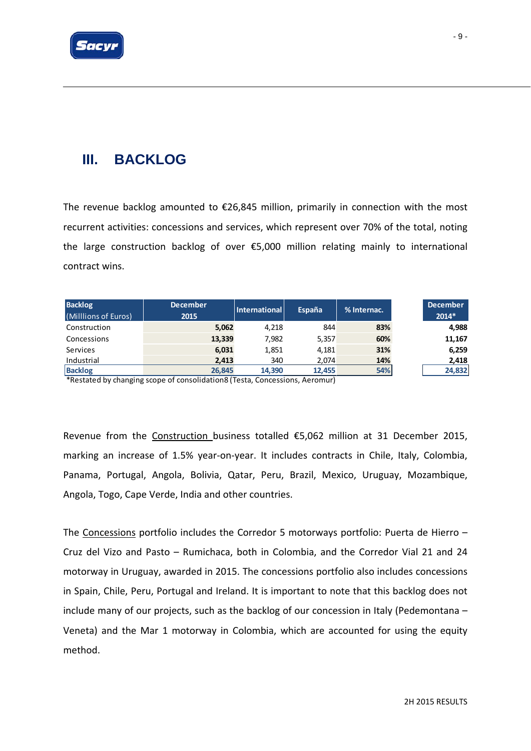

# **III. BACKLOG**

The revenue backlog amounted to  $E26,845$  million, primarily in connection with the most recurrent activities: concessions and services, which represent over 70% of the total, noting the large construction backlog of over €5,000 million relating mainly to international contract wins.

| <b>Backlog</b><br>(Milllions of Euros) | <b>December</b><br>2015 | <b>International</b> | España | % Internac. | <b>December</b><br>$2014*$ |
|----------------------------------------|-------------------------|----------------------|--------|-------------|----------------------------|
| Construction                           | 5,062                   | 4.218                | 844    | 83%         | 4,988                      |
| Concessions                            | 13,339                  | 7,982                | 5,357  | 60%         | 11,167                     |
| Services                               | 6,031                   | 1,851                | 4.181  | 31%         | 6,259                      |
| Industrial                             | 2,413                   | 340                  | 2,074  | 14%         | 2,418                      |
| <b>Backlog</b>                         | 26,845                  | 14,390               | 12,455 | 54%         | 24,832                     |

\*Restated by changing scope of consolidation8 (Testa, Concessions, Aeromur)

Revenue from the Construction business totalled €5,062 million at 31 December 2015, marking an increase of 1.5% year-on-year. It includes contracts in Chile, Italy, Colombia, Panama, Portugal, Angola, Bolivia, Qatar, Peru, Brazil, Mexico, Uruguay, Mozambique, Angola, Togo, Cape Verde, India and other countries.

The Concessions portfolio includes the Corredor 5 motorways portfolio: Puerta de Hierro – Cruz del Vizo and Pasto – Rumichaca, both in Colombia, and the Corredor Vial 21 and 24 motorway in Uruguay, awarded in 2015. The concessions portfolio also includes concessions in Spain, Chile, Peru, Portugal and Ireland. It is important to note that this backlog does not include many of our projects, such as the backlog of our concession in Italy (Pedemontana – Veneta) and the Mar 1 motorway in Colombia, which are accounted for using the equity method.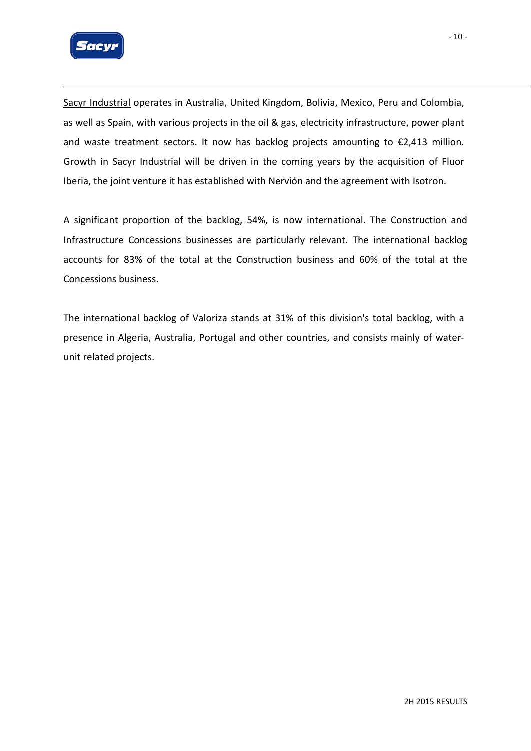

Sacyr Industrial operates in Australia, United Kingdom, Bolivia, Mexico, Peru and Colombia, as well as Spain, with various projects in the oil & gas, electricity infrastructure, power plant and waste treatment sectors. It now has backlog projects amounting to €2,413 million. Growth in Sacyr Industrial will be driven in the coming years by the acquisition of Fluor Iberia, the joint venture it has established with Nervión and the agreement with Isotron.

A significant proportion of the backlog, 54%, is now international. The Construction and Infrastructure Concessions businesses are particularly relevant. The international backlog accounts for 83% of the total at the Construction business and 60% of the total at the Concessions business.

The international backlog of Valoriza stands at 31% of this division's total backlog, with a presence in Algeria, Australia, Portugal and other countries, and consists mainly of water‐ unit related projects.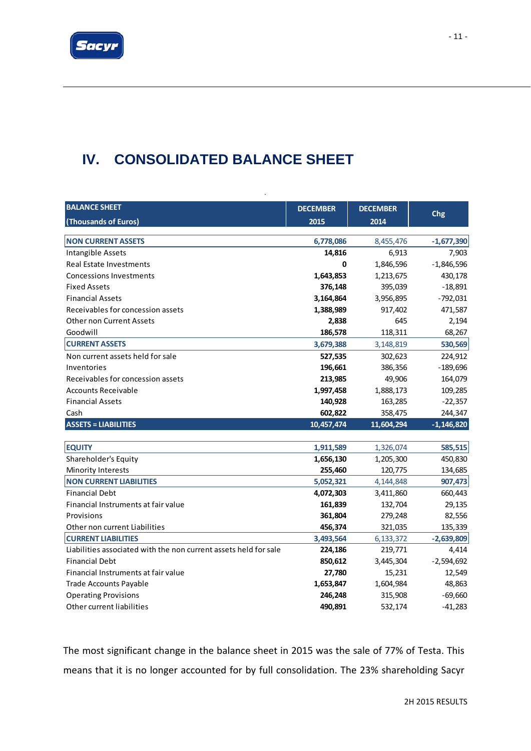

# **IV. CONSOLIDATED BALANCE SHEET**

| <b>BALANCE SHEET</b>                                             | <b>DECEMBER</b> | <b>DECEMBER</b> |              |
|------------------------------------------------------------------|-----------------|-----------------|--------------|
| (Thousands of Euros)                                             | 2015            | 2014            | Chg          |
|                                                                  |                 |                 |              |
| <b>NON CURRENT ASSETS</b>                                        | 6,778,086       | 8,455,476       | $-1,677,390$ |
| Intangible Assets                                                | 14,816          | 6,913           | 7,903        |
| <b>Real Estate Investments</b>                                   | 0               | 1,846,596       | $-1,846,596$ |
| <b>Concessions Investments</b>                                   | 1,643,853       | 1,213,675       | 430,178      |
| <b>Fixed Assets</b>                                              | 376,148         | 395,039         | $-18,891$    |
| <b>Financial Assets</b>                                          | 3,164,864       | 3,956,895       | $-792,031$   |
| Receivables for concession assets                                | 1,388,989       | 917,402         | 471,587      |
| Other non Current Assets                                         | 2,838           | 645             | 2,194        |
| Goodwill                                                         | 186,578         | 118,311         | 68,267       |
| <b>CURRENT ASSETS</b>                                            | 3,679,388       | 3,148,819       | 530,569      |
| Non current assets held for sale                                 | 527,535         | 302,623         | 224,912      |
| Inventories                                                      | 196,661         | 386,356         | $-189,696$   |
| Receivables for concession assets                                | 213,985         | 49,906          | 164,079      |
| <b>Accounts Receivable</b>                                       | 1,997,458       | 1,888,173       | 109,285      |
| <b>Financial Assets</b>                                          | 140,928         | 163,285         | $-22,357$    |
| Cash                                                             | 602,822         | 358,475         | 244,347      |
| <b>ASSETS = LIABILITIES</b>                                      | 10,457,474      | 11,604,294      | $-1,146,820$ |
|                                                                  |                 |                 |              |
| <b>EQUITY</b>                                                    | 1,911,589       | 1,326,074       | 585,515      |
| Shareholder's Equity                                             | 1,656,130       | 1,205,300       | 450,830      |
| Minority Interests                                               | 255,460         | 120,775         | 134,685      |
| <b>NON CURRENT LIABILITIES</b>                                   | 5,052,321       | 4,144,848       | 907,473      |
| <b>Financial Debt</b>                                            | 4,072,303       | 3,411,860       | 660,443      |
| Financial Instruments at fair value                              | 161,839         | 132,704         | 29,135       |
| Provisions                                                       | 361,804         | 279,248         | 82,556       |
| Other non current Liabilities                                    | 456,374         | 321,035         | 135,339      |
| <b>CURRENT LIABILITIES</b>                                       | 3,493,564       | 6,133,372       | $-2,639,809$ |
| Liabilities associated with the non current assets held for sale | 224,186         | 219,771         | 4,414        |
| <b>Financial Debt</b>                                            | 850,612         | 3,445,304       | $-2,594,692$ |
| Financial Instruments at fair value                              | 27,780          | 15,231          | 12,549       |
| <b>Trade Accounts Payable</b>                                    | 1,653,847       | 1,604,984       | 48,863       |
| <b>Operating Provisions</b>                                      | 246,248         | 315,908         | $-69,660$    |
| Other current liabilities                                        | 490,891         | 532,174         | $-41,283$    |

.

The most significant change in the balance sheet in 2015 was the sale of 77% of Testa. This means that it is no longer accounted for by full consolidation. The 23% shareholding Sacyr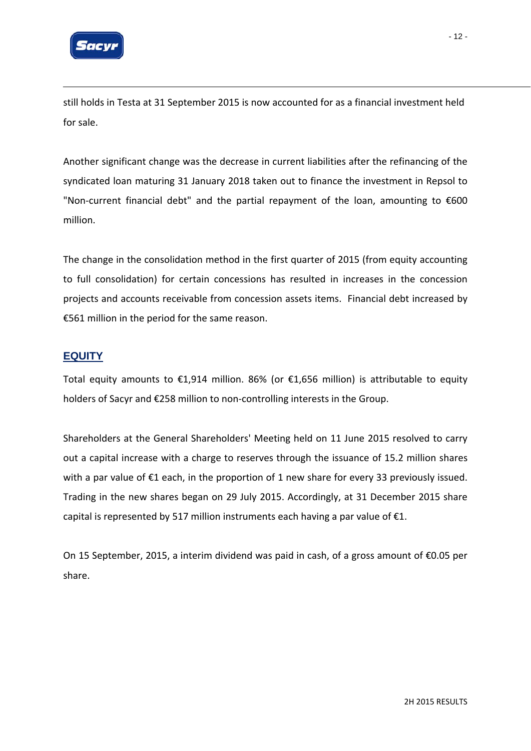

still holds in Testa at 31 September 2015 is now accounted for as a financial investment held for sale.

Another significant change was the decrease in current liabilities after the refinancing of the syndicated loan maturing 31 January 2018 taken out to finance the investment in Repsol to "Non‐current financial debt" and the partial repayment of the loan, amounting to €600 million.

The change in the consolidation method in the first quarter of 2015 (from equity accounting to full consolidation) for certain concessions has resulted in increases in the concession projects and accounts receivable from concession assets items. Financial debt increased by €561 million in the period for the same reason.

#### **EQUITY**

Total equity amounts to €1,914 million. 86% (or €1,656 million) is attributable to equity holders of Sacyr and €258 million to non‐controlling interests in the Group.

Shareholders at the General Shareholders' Meeting held on 11 June 2015 resolved to carry out a capital increase with a charge to reserves through the issuance of 15.2 million shares with a par value of €1 each, in the proportion of 1 new share for every 33 previously issued. Trading in the new shares began on 29 July 2015. Accordingly, at 31 December 2015 share capital is represented by 517 million instruments each having a par value of  $E1$ .

On 15 September, 2015, a interim dividend was paid in cash, of a gross amount of €0.05 per share.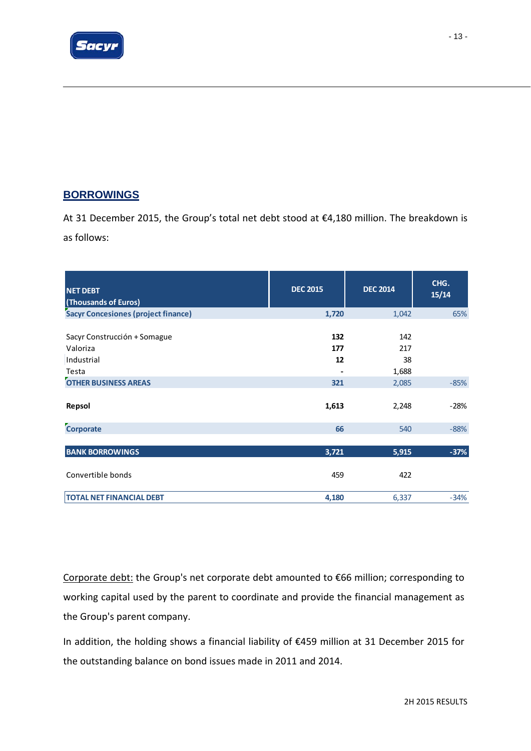

## **BORROWINGS**

At 31 December 2015, the Group's total net debt stood at €4,180 million. The breakdown is as follows:

| <b>NET DEBT</b><br>(Thousands of Euros)                                                        | <b>DEC 2015</b>                           | <b>DEC 2014</b>                    | CHG.<br>15/14 |
|------------------------------------------------------------------------------------------------|-------------------------------------------|------------------------------------|---------------|
| <b>Sacyr Concesiones (project finance)</b>                                                     | 1,720                                     | 1,042                              | 65%           |
| Sacyr Construcción + Somague<br>Valoriza<br>Industrial<br>Testa<br><b>OTHER BUSINESS AREAS</b> | 132<br>177<br>12<br>$\blacksquare$<br>321 | 142<br>217<br>38<br>1,688<br>2,085 | $-85%$        |
| Repsol                                                                                         | 1,613                                     | 2,248                              | $-28%$        |
| Corporate                                                                                      | 66                                        | 540                                | $-88%$        |
|                                                                                                |                                           |                                    |               |
| <b>BANK BORROWINGS</b>                                                                         | 3,721                                     | 5,915                              | $-37%$        |
| Convertible bonds                                                                              | 459                                       | 422                                |               |
| <b>TOTAL NET FINANCIAL DEBT</b>                                                                | 4,180                                     | 6,337                              | $-34%$        |

Corporate debt: the Group's net corporate debt amounted to €66 million; corresponding to working capital used by the parent to coordinate and provide the financial management as the Group's parent company.

In addition, the holding shows a financial liability of €459 million at 31 December 2015 for the outstanding balance on bond issues made in 2011 and 2014.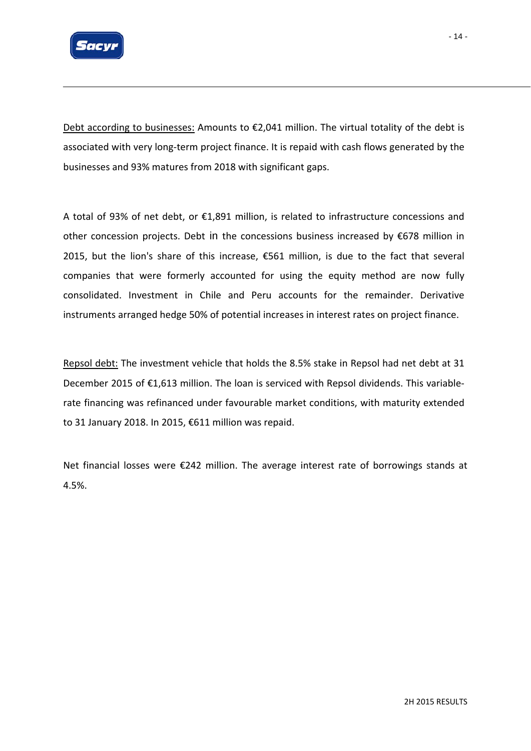

Debt according to businesses: Amounts to  $\epsilon$ 2,041 million. The virtual totality of the debt is associated with very long‐term project finance. It is repaid with cash flows generated by the businesses and 93% matures from 2018 with significant gaps.

A total of 93% of net debt, or €1,891 million, is related to infrastructure concessions and other concession projects. Debt in the concessions business increased by €678 million in 2015, but the lion's share of this increase, €561 million, is due to the fact that several companies that were formerly accounted for using the equity method are now fully consolidated. Investment in Chile and Peru accounts for the remainder. Derivative instruments arranged hedge 50% of potential increases in interest rates on project finance.

Repsol debt: The investment vehicle that holds the 8.5% stake in Repsol had net debt at 31 December 2015 of €1,613 million. The loan is serviced with Repsol dividends. This variablerate financing was refinanced under favourable market conditions, with maturity extended to 31 January 2018. In 2015, €611 million was repaid.

Net financial losses were €242 million. The average interest rate of borrowings stands at 4.5%.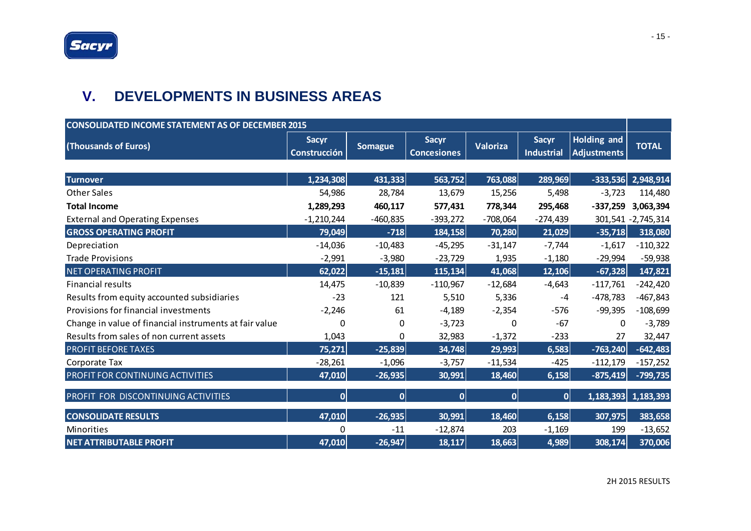# **V. DEVELOPMENTS IN BUSINESS AREAS**

| <b>CONSOLIDATED INCOME STATEMENT AS OF DECEMBER 2015</b> |                                     |                |                                    |            |                                   |                                          |                     |
|----------------------------------------------------------|-------------------------------------|----------------|------------------------------------|------------|-----------------------------------|------------------------------------------|---------------------|
| (Thousands of Euros)                                     | <b>Sacyr</b><br><b>Construcción</b> | <b>Somague</b> | <b>Sacyr</b><br><b>Concesiones</b> | Valoriza   | <b>Sacyr</b><br><b>Industrial</b> | <b>Holding and</b><br><b>Adjustments</b> | <b>TOTAL</b>        |
|                                                          |                                     |                |                                    |            |                                   |                                          |                     |
| <b>Turnover</b>                                          | 1,234,308                           | 431,333        | 563,752                            | 763,088    | 289,969                           | $-333,536$                               | 2,948,914           |
| <b>Other Sales</b>                                       | 54,986                              | 28,784         | 13,679                             | 15,256     | 5,498                             | $-3,723$                                 | 114,480             |
| <b>Total Income</b>                                      | 1,289,293                           | 460,117        | 577,431                            | 778,344    | 295,468                           | $-337,259$                               | 3,063,394           |
| <b>External and Operating Expenses</b>                   | $-1,210,244$                        | $-460,835$     | $-393,272$                         | $-708,064$ | $-274,439$                        |                                          | 301,541 - 2,745,314 |
| <b>GROSS OPERATING PROFIT</b>                            | 79,049                              | $-718$         | 184,158                            | 70,280     | 21,029                            | $-35,718$                                | 318,080             |
| Depreciation                                             | $-14,036$                           | $-10,483$      | $-45,295$                          | $-31,147$  | $-7,744$                          | $-1,617$                                 | $-110,322$          |
| <b>Trade Provisions</b>                                  | $-2,991$                            | $-3,980$       | $-23,729$                          | 1,935      | $-1,180$                          | $-29,994$                                | $-59,938$           |
| NET OPERATING PROFIT                                     | 62,022                              | $-15,181$      | 115, 134                           | 41,068     | 12,106                            | $-67,328$                                | 147,821             |
| <b>Financial results</b>                                 | 14,475                              | $-10,839$      | $-110,967$                         | $-12,684$  | $-4,643$                          | $-117,761$                               | $-242,420$          |
| Results from equity accounted subsidiaries               | $-23$                               | 121            | 5,510                              | 5,336      | $-4$                              | $-478,783$                               | $-467,843$          |
| Provisions for financial investments                     | $-2,246$                            | 61             | $-4,189$                           | $-2,354$   | $-576$                            | $-99,395$                                | $-108,699$          |
| Change in value of financial instruments at fair value   | $\Omega$                            | $\Omega$       | $-3,723$                           | $\Omega$   | $-67$                             | $\Omega$                                 | $-3,789$            |
| Results from sales of non current assets                 | 1,043                               | 0              | 32,983                             | $-1,372$   | $-233$                            | 27                                       | 32,447              |
| <b>PROFIT BEFORE TAXES</b>                               | 75,271                              | $-25,839$      | 34,748                             | 29,993     | 6,583                             | $-763,240$                               | $-642,483$          |
| Corporate Tax                                            | $-28,261$                           | $-1,096$       | $-3,757$                           | $-11,534$  | $-425$                            | $-112,179$                               | $-157,252$          |
| PROFIT FOR CONTINUING ACTIVITIES                         | 47,010                              | $-26,935$      | 30,991                             | 18,460     | 6,158                             | $-875,419$                               | $-799,735$          |
| PROFIT FOR DISCONTINUING ACTIVITIES                      | 0                                   | 0              | 0                                  | 0          | 0                                 |                                          | 1,183,393 1,183,393 |
| <b>CONSOLIDATE RESULTS</b>                               | 47,010                              | $-26,935$      | 30,991                             | 18,460     | 6,158                             | 307,975                                  | 383,658             |
| <b>Minorities</b>                                        | 0                                   | $-11$          | $-12,874$                          | 203        | $-1,169$                          | 199                                      | $-13,652$           |
| <b>NET ATTRIBUTABLE PROFIT</b>                           | 47,010                              | $-26,947$      | 18,117                             | 18,663     | 4,989                             | 308,174                                  | 370,006             |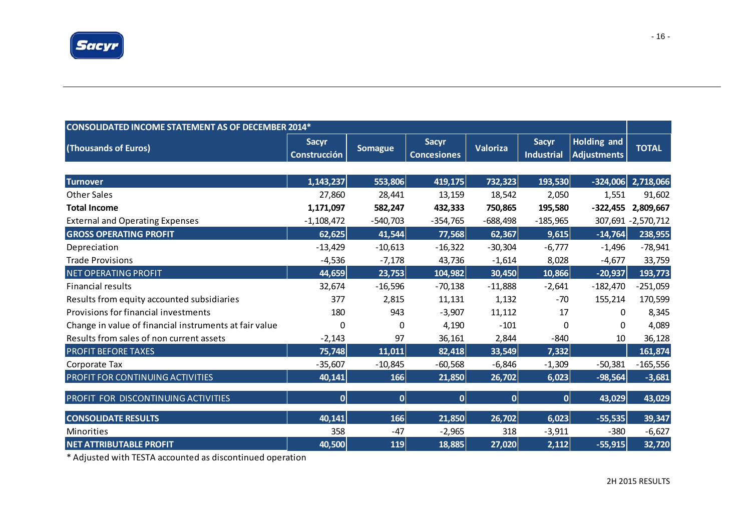

| <b>CONSOLIDATED INCOME STATEMENT AS OF DECEMBER 2014*</b> |                              |                |                                    |            |                                   |                                          |                     |  |
|-----------------------------------------------------------|------------------------------|----------------|------------------------------------|------------|-----------------------------------|------------------------------------------|---------------------|--|
| (Thousands of Euros)                                      | <b>Sacyr</b><br>Construcción | <b>Somague</b> | <b>Sacyr</b><br><b>Concesiones</b> | Valoriza   | <b>Sacyr</b><br><b>Industrial</b> | <b>Holding and</b><br><b>Adjustments</b> | <b>TOTAL</b>        |  |
| <b>Turnover</b>                                           | 1,143,237                    | 553,806        | 419,175                            | 732,323    | 193,530                           | $-324,006$                               | 2,718,066           |  |
| <b>Other Sales</b>                                        | 27,860                       | 28,441         | 13,159                             | 18,542     | 2,050                             | 1,551                                    | 91,602              |  |
| <b>Total Income</b>                                       | 1,171,097                    | 582,247        | 432,333                            | 750,865    | 195,580                           | $-322,455$                               | 2,809,667           |  |
| <b>External and Operating Expenses</b>                    | $-1,108,472$                 | $-540,703$     | $-354,765$                         | $-688,498$ | $-185,965$                        |                                          | 307,691 - 2,570,712 |  |
| <b>GROSS OPERATING PROFIT</b>                             | 62,625                       | 41,544         | 77,568                             | 62,367     | 9,615                             | $-14,764$                                | 238,955             |  |
| Depreciation                                              | $-13,429$                    | $-10,613$      | $-16,322$                          | $-30,304$  | $-6,777$                          | $-1,496$                                 | $-78,941$           |  |
| <b>Trade Provisions</b>                                   | $-4,536$                     | $-7,178$       | 43,736                             | $-1,614$   | 8,028                             | $-4,677$                                 | 33,759              |  |
| <b>NET OPERATING PROFIT</b>                               | 44,659                       | 23,753         | 104,982                            | 30,450     | 10,866                            | $-20,937$                                | 193,773             |  |
| <b>Financial results</b>                                  | 32,674                       | $-16,596$      | $-70,138$                          | $-11,888$  | $-2,641$                          | $-182,470$                               | $-251,059$          |  |
| Results from equity accounted subsidiaries                | 377                          | 2,815          | 11,131                             | 1,132      | $-70$                             | 155,214                                  | 170,599             |  |
| Provisions for financial investments                      | 180                          | 943            | $-3,907$                           | 11,112     | 17                                | 0                                        | 8,345               |  |
| Change in value of financial instruments at fair value    | 0                            | 0              | 4,190                              | $-101$     | 0                                 | 0                                        | 4,089               |  |
| Results from sales of non current assets                  | $-2,143$                     | 97             | 36,161                             | 2,844      | $-840$                            | 10                                       | 36,128              |  |
| <b>PROFIT BEFORE TAXES</b>                                | 75,748                       | 11,011         | 82,418                             | 33,549     | 7,332                             |                                          | 161,874             |  |
| Corporate Tax                                             | $-35,607$                    | $-10,845$      | $-60,568$                          | $-6,846$   | $-1,309$                          | $-50,381$                                | $-165,556$          |  |
| PROFIT FOR CONTINUING ACTIVITIES                          | 40,141                       | 166            | 21,850                             | 26,702     | 6,023                             | $-98,564$                                | $-3,681$            |  |
| PROFIT FOR DISCONTINUING ACTIVITIES                       | 0                            | 0              | 0                                  | 0          | $\overline{0}$                    | 43,029                                   | 43,029              |  |
| <b>CONSOLIDATE RESULTS</b>                                | 40,141                       | 166            | 21,850                             | 26,702     | 6,023                             | $-55,535$                                | 39,347              |  |
| <b>Minorities</b>                                         | 358                          | $-47$          | $-2,965$                           | 318        | $-3,911$                          | $-380$                                   | $-6,627$            |  |
| <b>NET ATTRIBUTABLE PROFIT</b>                            | 40,500                       | 119            | 18,885                             | 27,020     | 2,112                             | $-55,915$                                | 32,720              |  |

\* Adjusted with TESTA accounted as discontinued operation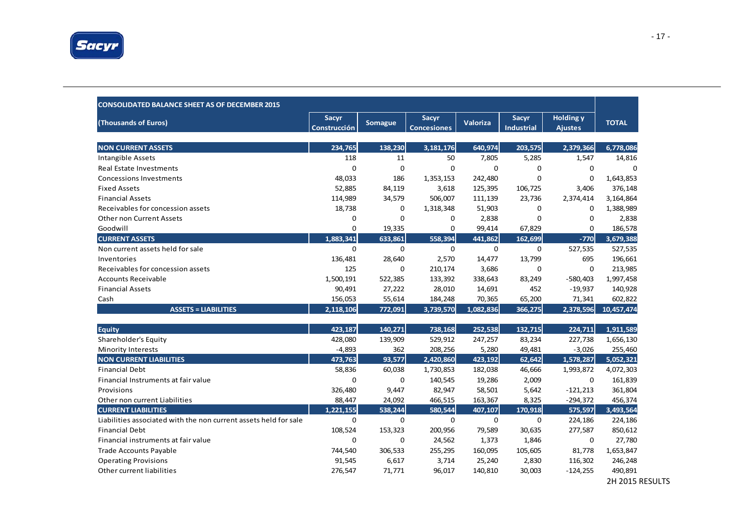

| <b>CONSOLIDATED BALANCE SHEET AS OF DECEMBER 2015</b>            |                                     |                |                                    |                 |                            |                                    |              |
|------------------------------------------------------------------|-------------------------------------|----------------|------------------------------------|-----------------|----------------------------|------------------------------------|--------------|
| (Thousands of Euros)                                             | <b>Sacyr</b><br><b>Construcción</b> | <b>Somague</b> | <b>Sacyr</b><br><b>Concesiones</b> | <b>Valoriza</b> | Sacyr<br><b>Industrial</b> | <b>Holding y</b><br><b>Ajustes</b> | <b>TOTAL</b> |
|                                                                  |                                     |                |                                    |                 |                            |                                    |              |
| <b>NON CURRENT ASSETS</b>                                        | 234,765                             | 138,230        | 3,181,176                          | 640,974         | 203,575                    | 2,379,366                          | 6,778,086    |
| <b>Intangible Assets</b>                                         | 118                                 | 11             | 50                                 | 7,805           | 5,285                      | 1,547                              | 14,816       |
| Real Estate Investments                                          | $\mathbf 0$                         | 0              | $\Omega$                           | $\mathbf 0$     | 0                          | $\mathbf 0$                        | $\Omega$     |
| <b>Concessions Investments</b>                                   | 48,033                              | 186            | 1,353,153                          | 242,480         | $\Omega$                   | $\Omega$                           | 1,643,853    |
| <b>Fixed Assets</b>                                              | 52,885                              | 84,119         | 3,618                              | 125,395         | 106,725                    | 3,406                              | 376,148      |
| <b>Financial Assets</b>                                          | 114,989                             | 34,579         | 506,007                            | 111,139         | 23,736                     | 2,374,414                          | 3,164,864    |
| Receivables for concession assets                                | 18,738                              | 0              | 1,318,348                          | 51,903          | 0                          | $\mathbf 0$                        | 1,388,989    |
| <b>Other non Current Assets</b>                                  | 0                                   | 0              | 0                                  | 2,838           | $\mathbf 0$                | $\mathbf 0$                        | 2,838        |
| Goodwill                                                         | $\mathbf 0$                         | 19,335         | $\mathbf 0$                        | 99,414          | 67,829                     | $\mathbf 0$                        | 186,578      |
| <b>CURRENT ASSETS</b>                                            | 1.883.341                           | 633,861        | 558.394                            | 441,862         | 162,699                    | $-770$                             | 3,679,388    |
| Non current assets held for sale                                 | $\mathbf 0$                         | 0              | $\mathbf 0$                        | $\mathbf 0$     | 0                          | 527,535                            | 527,535      |
| Inventories                                                      | 136,481                             | 28,640         | 2,570                              | 14,477          | 13,799                     | 695                                | 196,661      |
| Receivables for concession assets                                | 125                                 | 0              | 210,174                            | 3,686           | 0                          | $\mathbf 0$                        | 213,985      |
| <b>Accounts Receivable</b>                                       | 1,500,191                           | 522,385        | 133,392                            | 338,643         | 83,249                     | $-580,403$                         | 1,997,458    |
| <b>Financial Assets</b>                                          | 90,491                              | 27,222         | 28,010                             | 14,691          | 452                        | $-19,937$                          | 140,928      |
| Cash                                                             | 156,053                             | 55,614         | 184,248                            | 70,365          | 65,200                     | 71,341                             | 602,822      |
| <b>ASSETS = LIABILITIES</b>                                      | 2,118,106                           | 772,091        | 3,739,570                          | 1,082,836       | 366,275                    | 2,378,596                          | 10,457,474   |
| <b>Equity</b>                                                    | 423,187                             | 140,271        | 738,168                            | 252,538         | 132,715                    | 224,711                            | 1,911,589    |
| Shareholder's Equity                                             | 428,080                             | 139,909        | 529,912                            | 247,257         | 83,234                     | 227,738                            | 1,656,130    |
| <b>Minority Interests</b>                                        | $-4,893$                            | 362            | 208,256                            | 5,280           | 49,481                     | $-3,026$                           | 255,460      |
| <b>NON CURRENT LIABILITIES</b>                                   | 473,763                             | 93,577         | 2,420,860                          | 423,192         | 62,642                     | 1,578,287                          | 5,052,321    |
| <b>Financial Debt</b>                                            | 58,836                              | 60,038         | 1,730,853                          | 182,038         | 46,666                     | 1,993,872                          | 4,072,303    |
| Financial Instruments at fair value                              | $\mathbf 0$                         | 0              | 140,545                            | 19,286          | 2,009                      | $\mathbf 0$                        | 161,839      |
| Provisions                                                       | 326,480                             | 9,447          | 82,947                             | 58,501          | 5,642                      | $-121,213$                         | 361,804      |
| Other non current Liabilities                                    | 88,447                              | 24,092         | 466,515                            | 163,367         | 8,325                      | $-294,372$                         | 456,374      |
| <b>CURRENT LIABILITIES</b>                                       | 1.221.155                           | 538,244        | 580,544                            | 407,107         | 170,918                    | 575,597                            | 3,493,564    |
| Liabilities associated with the non current assets held for sale | $\mathbf 0$                         | 0              | $\Omega$                           | $\mathbf 0$     | $\mathbf 0$                | 224,186                            | 224,186      |
| <b>Financial Debt</b>                                            | 108,524                             | 153,323        | 200,956                            | 79,589          | 30,635                     | 277,587                            | 850,612      |
| Financial instruments at fair value                              | $\mathbf 0$                         | 0              | 24,562                             | 1,373           | 1,846                      | $\mathbf 0$                        | 27,780       |
| Trade Accounts Payable                                           | 744,540                             | 306,533        | 255,295                            | 160,095         | 105,605                    | 81,778                             | 1,653,847    |
| <b>Operating Provisions</b>                                      | 91,545                              | 6,617          | 3,714                              | 25,240          | 2,830                      | 116,302                            | 246,248      |
| Other current liabilities                                        | 276,547                             | 71,771         | 96,017                             | 140,810         | 30,003                     | $-124,255$                         | 490,891      |
|                                                                  |                                     |                |                                    |                 |                            |                                    |              |

2H 2015 RESULTS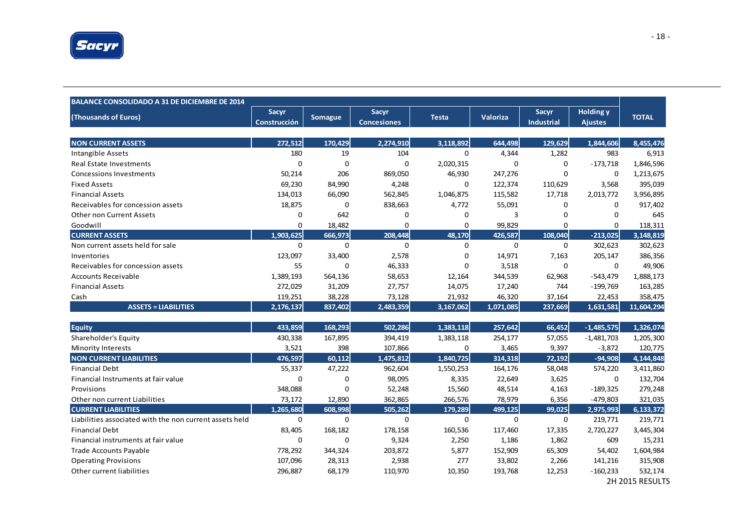

| <b>BALANCE CONSOLIDADO A 31 DE DICIEMBRE DE 2014</b>    |                              |                |                             |              |           |                            |                                    |              |
|---------------------------------------------------------|------------------------------|----------------|-----------------------------|--------------|-----------|----------------------------|------------------------------------|--------------|
| (Thousands of Euros)                                    | Sacyr<br><b>Construcción</b> | <b>Somague</b> | Sacyr<br><b>Concesiones</b> | <b>Testa</b> | Valoriza  | Sacyr<br><b>Industrial</b> | <b>Holding y</b><br><b>Ajustes</b> | <b>TOTAL</b> |
| <b>NON CURRENT ASSETS</b>                               | 272,512                      | 170,429        | 2,274,910                   | 3,118,892    | 644,498   | 129,629                    | 1,844,606                          | 8,455,476    |
| Intangible Assets                                       | 180                          | 19             | 104                         | 0            | 4,344     | 1,282                      | 983                                | 6,913        |
| <b>Real Estate Investments</b>                          | $\Omega$                     | $\Omega$       | $\Omega$                    | 2,020,315    | $\Omega$  | $\Omega$                   | $-173,718$                         | 1,846,596    |
| <b>Concessions Investments</b>                          | 50,214                       | 206            | 869,050                     | 46,930       | 247,276   | $\Omega$                   | $\Omega$                           | 1,213,675    |
| <b>Fixed Assets</b>                                     | 69,230                       | 84,990         | 4,248                       | $\Omega$     | 122,374   | 110,629                    | 3,568                              | 395,039      |
| <b>Financial Assets</b>                                 | 134,013                      | 66,090         | 562,845                     | 1,046,875    | 115,582   | 17,718                     | 2,013,772                          | 3,956,895    |
| Receivables for concession assets                       | 18,875                       | $\mathbf 0$    | 838,663                     | 4,772        | 55,091    | 0                          | 0                                  | 917,402      |
| <b>Other non Current Assets</b>                         | 0                            | 642            | 0                           | 0            | 3         | $\Omega$                   | 0                                  | 645          |
| Goodwill                                                | 0                            | 18,482         | 0                           | 0            | 99,829    | 0                          | 0                                  | 118,311      |
| <b>CURRENT ASSETS</b>                                   | 1,903,625                    | 666,973        | 208,448                     | 48,170       | 426,587   | 108,040                    | $-213,025$                         | 3,148,819    |
| Non current assets held for sale                        | 0                            | $\mathbf 0$    | 0                           | 0            | 0         | $\mathbf 0$                | 302,623                            | 302,623      |
| Inventories                                             | 123,097                      | 33,400         | 2,578                       | $\Omega$     | 14,971    | 7,163                      | 205,147                            | 386,356      |
| Receivables for concession assets                       | 55                           | $\mathbf 0$    | 46,333                      | 0            | 3,518     | $\Omega$                   | 0                                  | 49,906       |
| <b>Accounts Receivable</b>                              | 1,389,193                    | 564,136        | 58,653                      | 12,164       | 344,539   | 62,968                     | $-543,479$                         | 1,888,173    |
| <b>Financial Assets</b>                                 | 272,029                      | 31,209         | 27,757                      | 14,075       | 17,240    | 744                        | $-199,769$                         | 163,285      |
| Cash                                                    | 119,251                      | 38,228         | 73,128                      | 21,932       | 46,320    | 37,164                     | 22,453                             | 358,475      |
| <b>ASSETS = LIABILITIES</b>                             | 2,176,137                    | 837,402        | 2,483,359                   | 3,167,062    | 1,071,085 | 237,669                    | 1,631,581                          | 11,604,294   |
|                                                         |                              |                |                             |              |           |                            |                                    |              |
| <b>Equity</b>                                           | 433,859                      | 168,293        | 502,286                     | 1,383,118    | 257,642   | 66,452                     | $-1,485,575$                       | 1,326,074    |
| Shareholder's Equity                                    | 430,338                      | 167,895        | 394,419                     | 1,383,118    | 254,177   | 57,055                     | $-1,481,703$                       | 1,205,300    |
| <b>Minority Interests</b>                               | 3,521                        | 398            | 107,866                     | 0            | 3,465     | 9,397                      | $-3,872$                           | 120,775      |
| <b>NON CURRENT LIABILITIES</b>                          | 476,597                      | 60,112         | 1,475,812                   | 1,840,725    | 314,318   | 72,192                     | $-94,908$                          | 4,144,848    |
| <b>Financial Debt</b>                                   | 55,337                       | 47,222         | 962,604                     | 1,550,253    | 164,176   | 58,048                     | 574,220                            | 3,411,860    |
| Financial Instruments at fair value                     | 0                            | 0              | 98,095                      | 8,335        | 22,649    | 3,625                      | 0                                  | 132,704      |
| Provisions                                              | 348,088                      | $\mathbf 0$    | 52,248                      | 15,560       | 48,514    | 4,163                      | $-189,325$                         | 279,248      |
| Other non current Liabilities                           | 73,172                       | 12,890         | 362,865                     | 266,576      | 78,979    | 6,356                      | $-479,803$                         | 321,035      |
| <b>CURRENT LIABILITIES</b>                              | 1,265,680                    | 608,998        | 505,262                     | 179,289      | 499,125   | 99,025                     | 2,975,993                          | 6,133,372    |
| Liabilities associated with the non current assets held | $\mathbf 0$                  | $\mathbf 0$    | $\mathbf 0$                 | 0            | $\Omega$  | $\mathbf 0$                | 219,771                            | 219,771      |
| <b>Financial Debt</b>                                   | 83,405                       | 168,182        | 178,158                     | 160,536      | 117,460   | 17,335                     | 2,720,227                          | 3,445,304    |
| Financial instruments at fair value                     | 0                            | $\mathbf 0$    | 9,324                       | 2,250        | 1,186     | 1,862                      | 609                                | 15,231       |
| <b>Trade Accounts Payable</b>                           | 778,292                      | 344,324        | 203,872                     | 5,877        | 152,909   | 65,309                     | 54,402                             | 1,604,984    |
| <b>Operating Provisions</b>                             | 107,096                      | 28,313         | 2,938                       | 277          | 33,802    | 2,266                      | 141,216                            | 315,908      |
| Other current liabilities                               | 296,887                      | 68,179         | 110,970                     | 10,350       | 193,768   | 12,253                     | $-160,233$                         | 532,174      |

2H 2015 RESULTS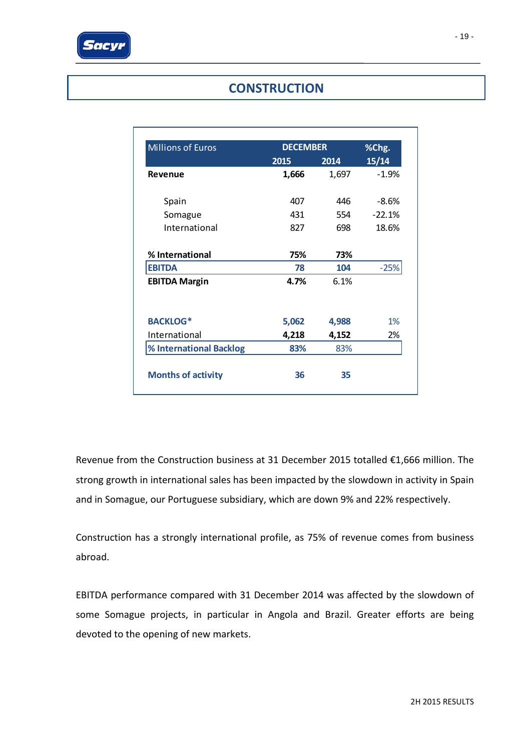# **CONSTRUCTION**

| <b>Millions of Euros</b>  | <b>DECEMBER</b> | %Chg. |          |  |
|---------------------------|-----------------|-------|----------|--|
|                           | 2015            | 2014  | 15/14    |  |
| Revenue                   | 1,666           | 1,697 | $-1.9%$  |  |
| Spain                     | 407             | 446   | $-8.6%$  |  |
| Somague                   | 431             | 554   | $-22.1%$ |  |
| International             | 827             | 698   | 18.6%    |  |
| % International           | 75%             | 73%   |          |  |
| <b>EBITDA</b>             | 78              | 104   | $-25%$   |  |
| <b>EBITDA Margin</b>      | 4.7%            | 6.1%  |          |  |
| <b>BACKLOG*</b>           | 5,062           | 4,988 | 1%       |  |
| International             | 4,218           | 4,152 | 2%       |  |
| % International Backlog   | 83%             | 83%   |          |  |
| <b>Months of activity</b> | 36              | 35    |          |  |

Revenue from the Construction business at 31 December 2015 totalled €1,666 million. The strong growth in international sales has been impacted by the slowdown in activity in Spain and in Somague, our Portuguese subsidiary, which are down 9% and 22% respectively.

Construction has a strongly international profile, as 75% of revenue comes from business abroad.

EBITDA performance compared with 31 December 2014 was affected by the slowdown of some Somague projects, in particular in Angola and Brazil. Greater efforts are being devoted to the opening of new markets.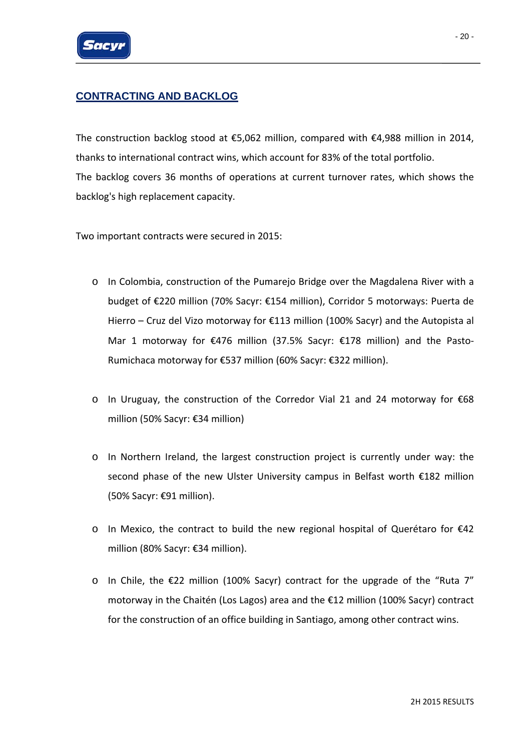

## **CONTRACTING AND BACKLOG**

The construction backlog stood at €5,062 million, compared with €4,988 million in 2014, thanks to international contract wins, which account for 83% of the total portfolio. The backlog covers 36 months of operations at current turnover rates, which shows the backlog's high replacement capacity.

Two important contracts were secured in 2015:

- o In Colombia, construction of the Pumarejo Bridge over the Magdalena River with a budget of €220 million (70% Sacyr: €154 million), Corridor 5 motorways: Puerta de Hierro – Cruz del Vizo motorway for €113 million (100% Sacyr) and the Autopista al Mar 1 motorway for €476 million (37.5% Sacyr: €178 million) and the Pasto-Rumichaca motorway for €537 million (60% Sacyr: €322 million).
- o In Uruguay, the construction of the Corredor Vial 21 and 24 motorway for €68 million (50% Sacyr: €34 million)
- o In Northern Ireland, the largest construction project is currently under way: the second phase of the new Ulster University campus in Belfast worth €182 million (50% Sacyr: €91 million).
- o In Mexico, the contract to build the new regional hospital of Querétaro for €42 million (80% Sacyr: €34 million).
- o In Chile, the €22 million (100% Sacyr) contract for the upgrade of the "Ruta 7" motorway in the Chaitén (Los Lagos) area and the €12 million (100% Sacyr) contract for the construction of an office building in Santiago, among other contract wins.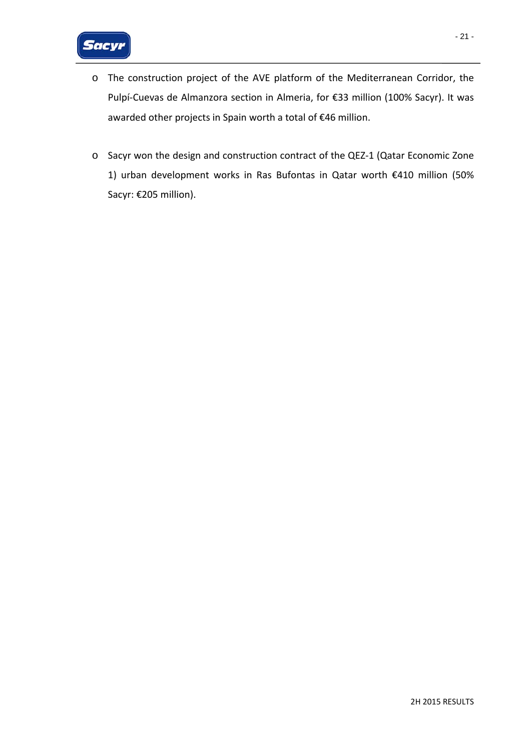- o The construction project of the AVE platform of the Mediterranean Corridor, the Pulpí‐Cuevas de Almanzora section in Almeria, for €33 million (100% Sacyr). It was awarded other projects in Spain worth a total of €46 million.
- o Sacyr won the design and construction contract of the QEZ‐1 (Qatar Economic Zone 1) urban development works in Ras Bufontas in Qatar worth €410 million (50% Sacyr: €205 million).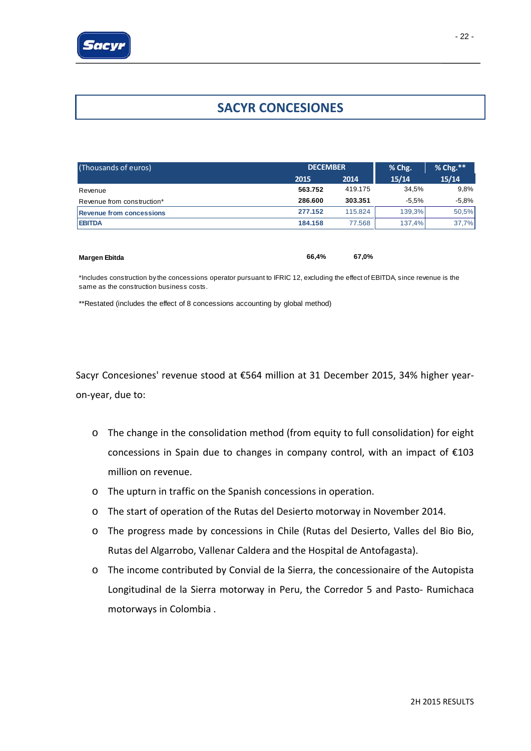

## **SACYR CONCESIONES**

| (Thousands of euros)            |         | <b>DECEMBER</b> |         |         |
|---------------------------------|---------|-----------------|---------|---------|
|                                 | 2015    | 2014            | 15/14   | 15/14   |
| Revenue                         | 563.752 | 419.175         | 34.5%   | 9,8%    |
| Revenue from construction*      | 286,600 | 303.351         | $-5.5%$ | $-5.8%$ |
| <b>Revenue from concessions</b> | 277.152 | 115.824         | 139.3%  | 50,5%   |
| <b>EBITDA</b>                   | 184.158 | 77.568          | 137.4%  | 37,7%   |
|                                 |         |                 |         |         |

| <b>Margen Ebitda</b> | 66.4% | 67.0% |
|----------------------|-------|-------|
|                      |       |       |

\*Includes construction by the concessions operator pursuant to IFRIC 12, excluding the effect of EBITDA, since revenue is the same as the construction business costs.

\*\*Restated (includes the effect of 8 concessions accounting by global method)

Sacyr Concesiones' revenue stood at €564 million at 31 December 2015, 34% higher year‐ on‐year, due to:

- o The change in the consolidation method (from equity to full consolidation) for eight concessions in Spain due to changes in company control, with an impact of €103 million on revenue.
- o The upturn in traffic on the Spanish concessions in operation.
- o The start of operation of the Rutas del Desierto motorway in November 2014.
- o The progress made by concessions in Chile (Rutas del Desierto, Valles del Bio Bio, Rutas del Algarrobo, Vallenar Caldera and the Hospital de Antofagasta).
- o The income contributed by Convial de la Sierra, the concessionaire of the Autopista Longitudinal de la Sierra motorway in Peru, the Corredor 5 and Pasto‐ Rumichaca motorways in Colombia .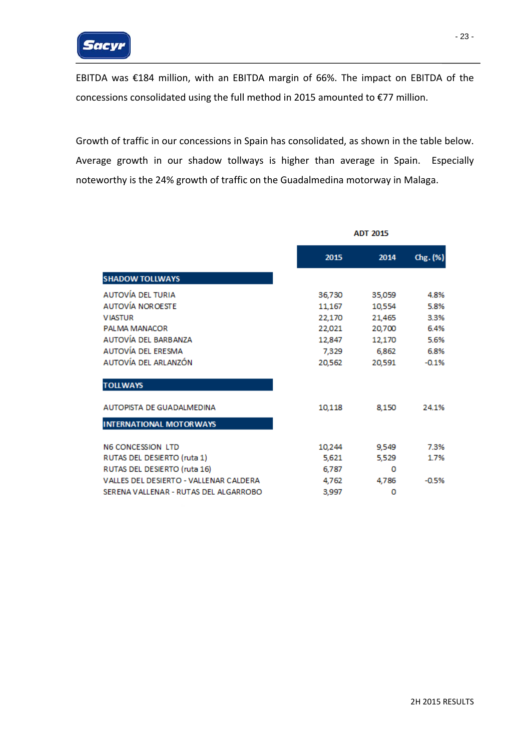

EBITDA was €184 million, with an EBITDA margin of 66%. The impact on EBITDA of the concessions consolidated using the full method in 2015 amounted to €77 million.

Growth of traffic in our concessions in Spain has consolidated, as shown in the table below. Average growth in our shadow tollways is higher than average in Spain. Especially noteworthy is the 24% growth of traffic on the Guadalmedina motorway in Malaga.

|                                        | <b>ADT 2015</b> |        |          |
|----------------------------------------|-----------------|--------|----------|
|                                        | 2015            | 2014   | Chg. (%) |
| <b>SHADOW TOLLWAYS</b>                 |                 |        |          |
| AUTOVÍA DEL TURIA                      | 36,730          | 35,059 | 4.8%     |
| <b>AUTOVÍA NOROESTE</b>                | 11,167          | 10,554 | 5.8%     |
| <b>VIASTUR</b>                         | 22,170          | 21,465 | 3.3%     |
| PALMA MANACOR                          | 22,021          | 20,700 | 6.4%     |
| AUTOVÍA DEL BARBANZA                   | 12,847          | 12,170 | 5.6%     |
| AUTOVÍA DEL ERESMA                     | 7.329           | 6,862  | 6.8%     |
| AUTOVÍA DEL ARLANZÓN                   | 20,562          | 20,591 | $-0.1%$  |
| <b>TOLLWAYS</b>                        |                 |        |          |
| <b>AUTOPISTA DE GUADALMEDINA</b>       | 10,118          | 8,150  | 24.1%    |
| <b>INTERNATIONAL MOTORWAYS</b>         |                 |        |          |
| <b>N6 CONCESSION LTD</b>               | 10,244          | 9,549  | 7.3%     |
| RUTAS DEL DESIERTO (ruta 1)            | 5,621           | 5,529  | 1.7%     |
| RUTAS DEL DESIERTO (ruta 16)           | 6,787           | o      |          |
| VALLES DEL DESIERTO - VALLENAR CALDERA | 4,762           | 4,786  | $-0.5%$  |
| SERENA VALLENAR - RUTAS DEL ALGARROBO  | 3,997           | 0      |          |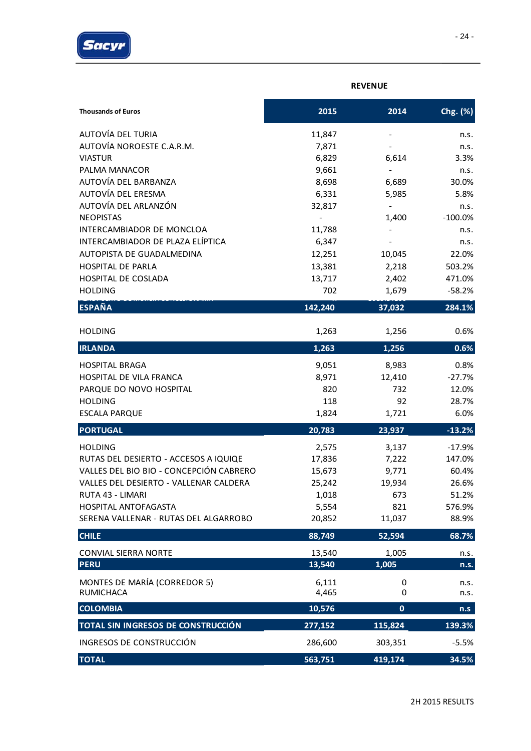

|                                         | <b>REVENUE</b> |                              |           |  |  |
|-----------------------------------------|----------------|------------------------------|-----------|--|--|
| <b>Thousands of Euros</b>               | 2015           | 2014                         | Chg. (%)  |  |  |
| AUTOVÍA DEL TURIA                       | 11,847         | $\qquad \qquad \blacksquare$ | n.s.      |  |  |
| AUTOVÍA NOROESTE C.A.R.M.               | 7,871          |                              | n.s.      |  |  |
| <b>VIASTUR</b>                          | 6,829          | 6,614                        | 3.3%      |  |  |
| PALMA MANACOR                           | 9,661          |                              | n.s.      |  |  |
| AUTOVÍA DEL BARBANZA                    | 8,698          | 6,689                        | 30.0%     |  |  |
| AUTOVÍA DEL ERESMA                      | 6,331          | 5,985                        | 5.8%      |  |  |
| AUTOVÍA DEL ARLANZÓN                    | 32,817         |                              | n.s.      |  |  |
| <b>NEOPISTAS</b>                        |                | 1,400                        | $-100.0%$ |  |  |
| INTERCAMBIADOR DE MONCLOA               | 11,788         |                              | n.s.      |  |  |
| INTERCAMBIADOR DE PLAZA ELÍPTICA        | 6,347          | $\overline{\phantom{a}}$     | n.s.      |  |  |
| AUTOPISTA DE GUADALMEDINA               | 12,251         | 10,045                       | 22.0%     |  |  |
| <b>HOSPITAL DE PARLA</b>                | 13,381         | 2,218                        | 503.2%    |  |  |
| HOSPITAL DE COSLADA                     | 13,717         | 2,402                        | 471.0%    |  |  |
| <b>HOLDING</b>                          | 702            | 1,679                        | $-58.2%$  |  |  |
| <b>ESPAÑA</b>                           | 142,240        | 37,032                       | 284.1%    |  |  |
|                                         |                |                              |           |  |  |
| <b>HOLDING</b>                          | 1,263          | 1,256                        | 0.6%      |  |  |
| <b>IRLANDA</b>                          | 1,263          | 1,256                        | 0.6%      |  |  |
| <b>HOSPITAL BRAGA</b>                   | 9,051          | 8,983                        | 0.8%      |  |  |
| HOSPITAL DE VILA FRANCA                 | 8,971          | 12,410                       | $-27.7%$  |  |  |
| PARQUE DO NOVO HOSPITAL                 | 820            | 732                          | 12.0%     |  |  |
| <b>HOLDING</b>                          | 118            | 92                           | 28.7%     |  |  |
| <b>ESCALA PARQUE</b>                    | 1,824          | 1,721                        | 6.0%      |  |  |
| <b>PORTUGAL</b>                         | 20,783         | 23,937                       | $-13.2%$  |  |  |
| <b>HOLDING</b>                          | 2,575          | 3,137                        | $-17.9%$  |  |  |
| RUTAS DEL DESIERTO - ACCESOS A IQUIQE   | 17,836         | 7,222                        | 147.0%    |  |  |
| VALLES DEL BIO BIO - CONCEPCIÓN CABRERO | 15,673         | 9,771                        | 60.4%     |  |  |
| VALLES DEL DESIERTO - VALLENAR CALDERA  | 25,242         | 19,934                       | 26.6%     |  |  |
| RUTA 43 - LIMARI                        | 1,018          | 673                          | 51.2%     |  |  |
| HOSPITAL ANTOFAGASTA                    | 5,554          | 821                          | 576.9%    |  |  |
| SERENA VALLENAR - RUTAS DEL ALGARROBO   | 20,852         | 11,037                       | 88.9%     |  |  |
| <b>CHILE</b>                            | 88,749         | 52,594                       | 68.7%     |  |  |
| <b>CONVIAL SIERRA NORTE</b>             | 13,540         | 1,005                        | n.s.      |  |  |
| <b>PERU</b>                             | 13,540         | 1,005                        | n.s.      |  |  |
| MONTES DE MARÍA (CORREDOR 5)            | 6,111          | 0                            | n.s.      |  |  |
| <b>RUMICHACA</b>                        | 4,465          | 0                            | n.s.      |  |  |
| <b>COLOMBIA</b>                         | 10,576         | $\mathbf 0$                  | n.s       |  |  |
| TOTAL SIN INGRESOS DE CONSTRUCCIÓN      | 277,152        | 115,824                      | 139.3%    |  |  |
| INGRESOS DE CONSTRUCCIÓN                | 286,600        | 303,351                      | $-5.5%$   |  |  |
| <b>TOTAL</b>                            | 563,751        | 419,174                      | 34.5%     |  |  |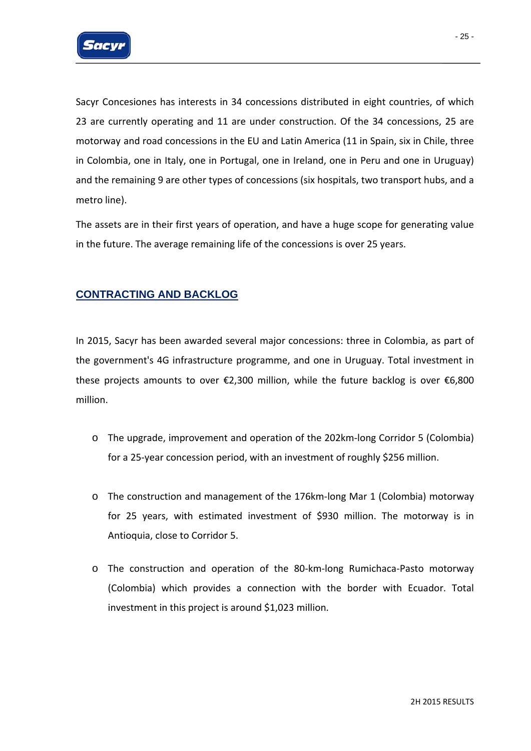

Sacyr Concesiones has interests in 34 concessions distributed in eight countries, of which 23 are currently operating and 11 are under construction. Of the 34 concessions, 25 are motorway and road concessions in the EU and Latin America (11 in Spain, six in Chile, three in Colombia, one in Italy, one in Portugal, one in Ireland, one in Peru and one in Uruguay) and the remaining 9 are other types of concessions (six hospitals, two transport hubs, and a metro line).

The assets are in their first years of operation, and have a huge scope for generating value in the future. The average remaining life of the concessions is over 25 years.

#### **CONTRACTING AND BACKLOG**

In 2015, Sacyr has been awarded several major concessions: three in Colombia, as part of the government's 4G infrastructure programme, and one in Uruguay. Total investment in these projects amounts to over €2,300 million, while the future backlog is over €6,800 million.

- o The upgrade, improvement and operation of the 202km‐long Corridor 5 (Colombia) for a 25-year concession period, with an investment of roughly \$256 million.
- o The construction and management of the 176km‐long Mar 1 (Colombia) motorway for 25 years, with estimated investment of \$930 million. The motorway is in Antioquia, close to Corridor 5.
- o The construction and operation of the 80‐km‐long Rumichaca‐Pasto motorway (Colombia) which provides a connection with the border with Ecuador. Total investment in this project is around \$1,023 million.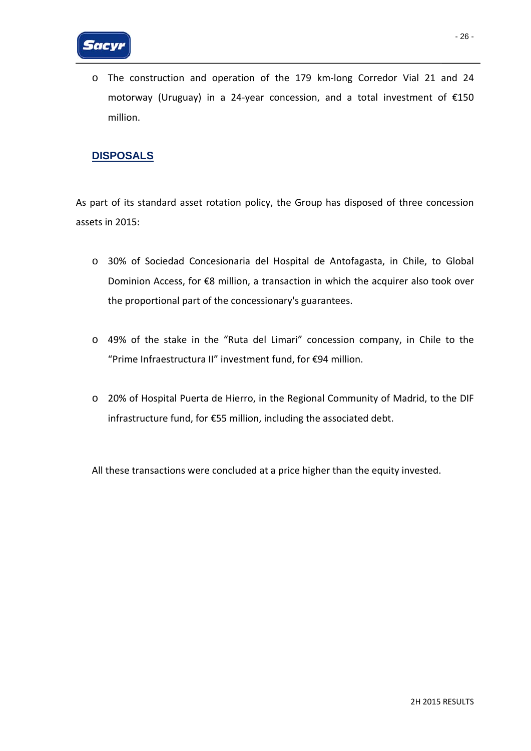o The construction and operation of the 179 km‐long Corredor Vial 21 and 24 motorway (Uruguay) in a 24‐year concession, and a total investment of €150 million.

## **DISPOSALS**

As part of its standard asset rotation policy, the Group has disposed of three concession assets in 2015:

- o 30% of Sociedad Concesionaria del Hospital de Antofagasta, in Chile, to Global Dominion Access, for €8 million, a transaction in which the acquirer also took over the proportional part of the concessionary's guarantees.
- o 49% of the stake in the "Ruta del Limari" concession company, in Chile to the "Prime Infraestructura II" investment fund, for €94 million.
- o 20% of Hospital Puerta de Hierro, in the Regional Community of Madrid, to the DIF infrastructure fund, for €55 million, including the associated debt.

All these transactions were concluded at a price higher than the equity invested.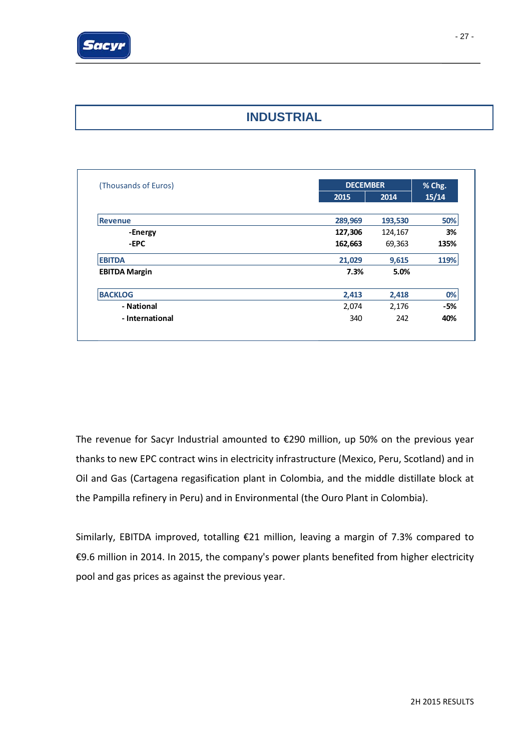

## **INDUSTRIAL**

| (Thousands of Euros) |         | <b>DECEMBER</b> |       |  |
|----------------------|---------|-----------------|-------|--|
|                      | 2015    | 2014            | 15/14 |  |
|                      |         |                 |       |  |
| <b>Revenue</b>       | 289,969 | 193,530         | 50%   |  |
| -Energy              | 127,306 | 124,167         | 3%    |  |
| -EPC                 | 162,663 | 69,363          | 135%  |  |
| <b>EBITDA</b>        | 21,029  | 9,615           | 119%  |  |
| <b>EBITDA Margin</b> | 7.3%    | 5.0%            |       |  |
| <b>BACKLOG</b>       | 2,413   | 2,418           | 0%    |  |
| - National           | 2,074   | 2,176           | -5%   |  |
| - International      | 340     | 242             | 40%   |  |

The revenue for Sacyr Industrial amounted to €290 million, up 50% on the previous year thanks to new EPC contract wins in electricity infrastructure (Mexico, Peru, Scotland) and in Oil and Gas (Cartagena regasification plant in Colombia, and the middle distillate block at the Pampilla refinery in Peru) and in Environmental (the Ouro Plant in Colombia).

Similarly, EBITDA improved, totalling €21 million, leaving a margin of 7.3% compared to €9.6 million in 2014. In 2015, the company's power plants benefited from higher electricity pool and gas prices as against the previous year.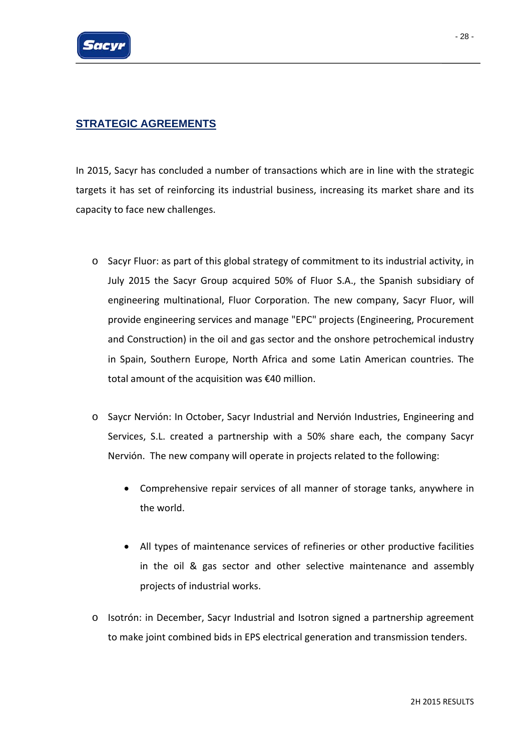

## **STRATEGIC AGREEMENTS**

In 2015, Sacyr has concluded a number of transactions which are in line with the strategic targets it has set of reinforcing its industrial business, increasing its market share and its capacity to face new challenges.

- o Sacyr Fluor: as part of this global strategy of commitment to its industrial activity, in July 2015 the Sacyr Group acquired 50% of Fluor S.A., the Spanish subsidiary of engineering multinational, Fluor Corporation. The new company, Sacyr Fluor, will provide engineering services and manage "EPC" projects (Engineering, Procurement and Construction) in the oil and gas sector and the onshore petrochemical industry in Spain, Southern Europe, North Africa and some Latin American countries. The total amount of the acquisition was €40 million.
- o Saycr Nervión: In October, Sacyr Industrial and Nervión Industries, Engineering and Services, S.L. created a partnership with a 50% share each, the company Sacyr Nervión. The new company will operate in projects related to the following:
	- Comprehensive repair services of all manner of storage tanks, anywhere in the world.
	- All types of maintenance services of refineries or other productive facilities in the oil & gas sector and other selective maintenance and assembly projects of industrial works.
- o Isotrón: in December, Sacyr Industrial and Isotron signed a partnership agreement to make joint combined bids in EPS electrical generation and transmission tenders.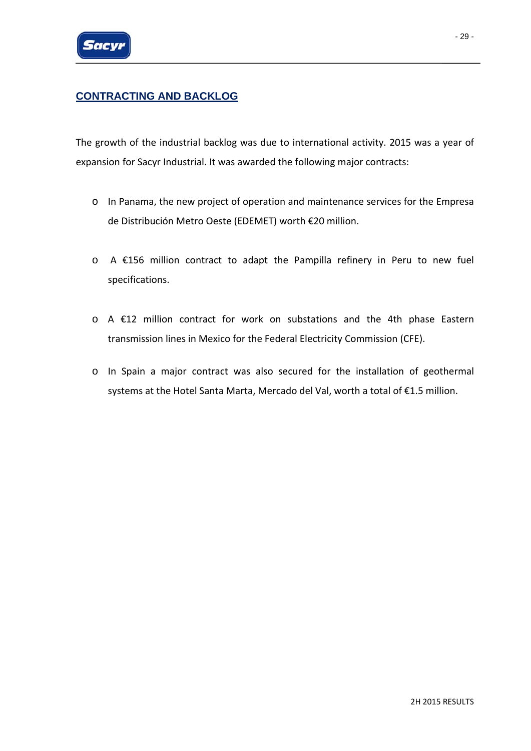

## **CONTRACTING AND BACKLOG**

The growth of the industrial backlog was due to international activity. 2015 was a year of expansion for Sacyr Industrial. It was awarded the following major contracts:

- o In Panama, the new project of operation and maintenance services for the Empresa de Distribución Metro Oeste (EDEMET) worth €20 million.
- o A €156 million contract to adapt the Pampilla refinery in Peru to new fuel specifications.
- o A €12 million contract for work on substations and the 4th phase Eastern transmission lines in Mexico for the Federal Electricity Commission (CFE).
- o In Spain a major contract was also secured for the installation of geothermal systems at the Hotel Santa Marta, Mercado del Val, worth a total of €1.5 million.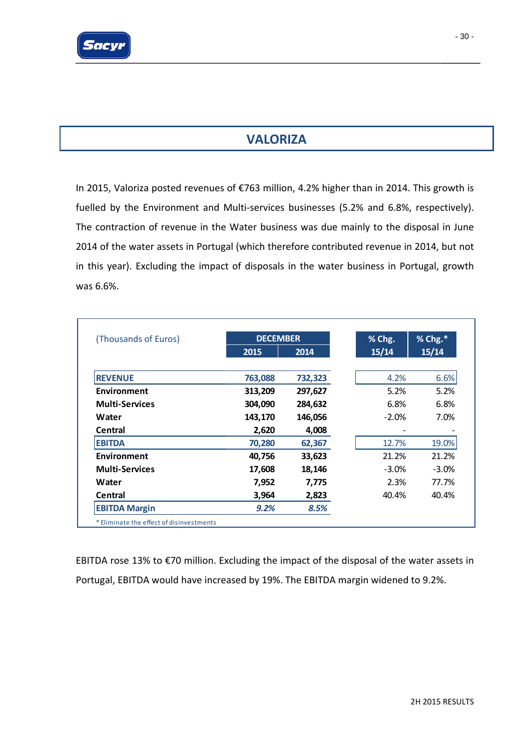

**VALORIZA**

# In 2015, Valoriza posted revenues of €763 million, 4.2% higher than in 2014. This growth is fuelled by the Environment and Multi-services businesses (5.2% and 6.8%, respectively). The contraction of revenue in the Water business was due mainly to the disposal in June 2014 of the water assets in Portugal (which therefore contributed revenue in 2014, but not in this year). Excluding the impact of disposals in the water business in Portugal, growth was 6.6%.

| 2014<br>732,323<br>297,627<br>284,632 | 15/14<br>4.2%<br>5.2% | 15/14   |
|---------------------------------------|-----------------------|---------|
|                                       |                       | 6.6%    |
|                                       |                       | 5.2%    |
|                                       |                       |         |
|                                       | 6.8%                  | 6.8%    |
| 146,056                               | $-2.0%$               | 7.0%    |
| 4,008                                 |                       |         |
| 62,367                                | 12.7%                 | 19.0%   |
| 33,623                                | 21.2%                 | 21.2%   |
| 18,146                                | $-3.0\%$              | $-3.0%$ |
| 7,775                                 | 2.3%                  | 77.7%   |
|                                       | 40.4%                 | 40.4%   |
|                                       |                       |         |
|                                       | 2,823                 | 8.5%    |

EBITDA rose 13% to €70 million. Excluding the impact of the disposal of the water assets in Portugal, EBITDA would have increased by 19%. The EBITDA margin widened to 9.2%.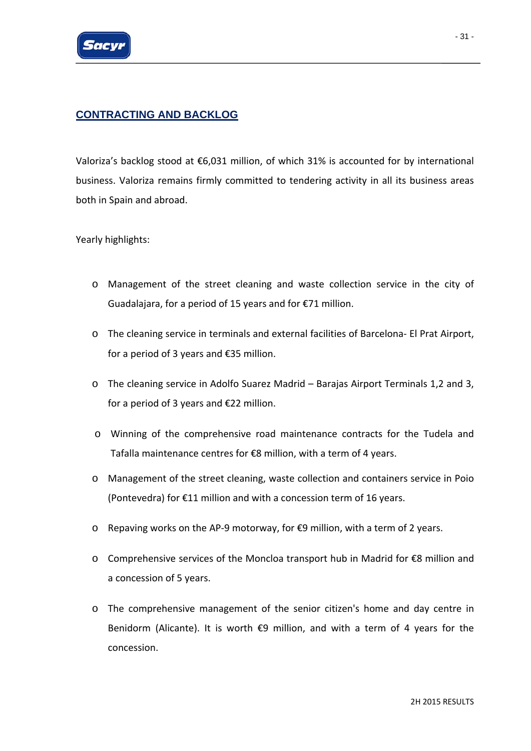

## **CONTRACTING AND BACKLOG**

Valoriza's backlog stood at €6,031 million, of which 31% is accounted for by international business. Valoriza remains firmly committed to tendering activity in all its business areas both in Spain and abroad.

Yearly highlights:

- o Management of the street cleaning and waste collection service in the city of Guadalajara, for a period of 15 years and for €71 million.
- o The cleaning service in terminals and external facilities of Barcelona‐ El Prat Airport, for a period of 3 years and €35 million.
- o The cleaning service in Adolfo Suarez Madrid Barajas Airport Terminals 1,2 and 3, for a period of 3 years and €22 million.
- o Winning of the comprehensive road maintenance contracts for the Tudela and Tafalla maintenance centres for €8 million, with a term of 4 years.
- o Management of the street cleaning, waste collection and containers service in Poio (Pontevedra) for €11 million and with a concession term of 16 years.
- o Repaving works on the AP‐9 motorway, for €9 million, with a term of 2 years.
- o Comprehensive services of the Moncloa transport hub in Madrid for €8 million and a concession of 5 years.
- o The comprehensive management of the senior citizen's home and day centre in Benidorm (Alicante). It is worth  $\epsilon$ 9 million, and with a term of 4 years for the concession.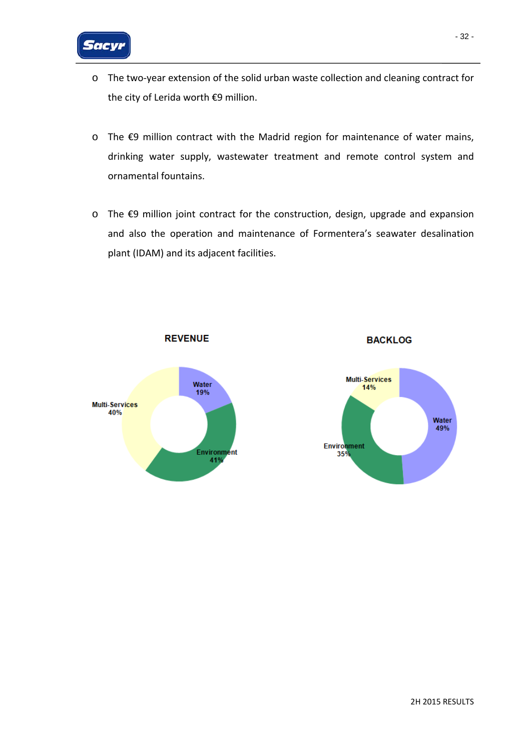

- o The two‐year extension of the solid urban waste collection and cleaning contract for the city of Lerida worth €9 million.
- o The €9 million contract with the Madrid region for maintenance of water mains, drinking water supply, wastewater treatment and remote control system and ornamental fountains.
- o The €9 million joint contract for the construction, design, upgrade and expansion and also the operation and maintenance of Formentera's seawater desalination plant (IDAM) and its adjacent facilities.





**BACKLOG**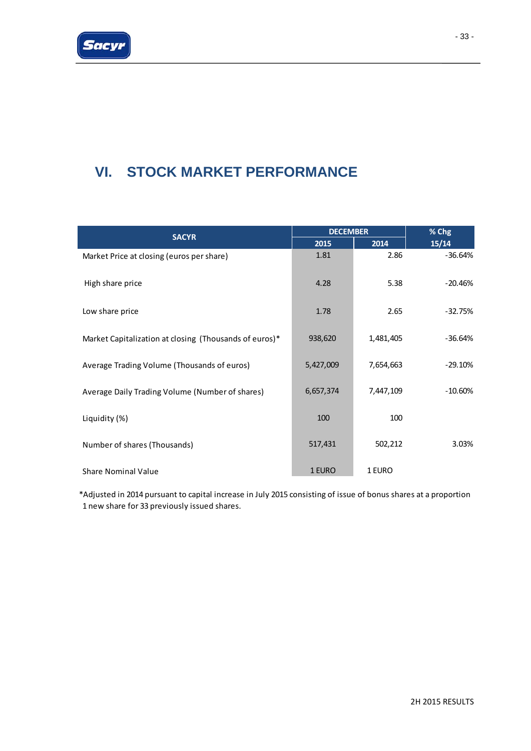

# **VI. STOCK MARKET PERFORMANCE**

|                                                        | <b>DECEMBER</b> | % Chg     |            |
|--------------------------------------------------------|-----------------|-----------|------------|
| <b>SACYR</b>                                           | 2015            | 2014      | 15/14      |
| Market Price at closing (euros per share)              | 1.81            | 2.86      | $-36.64%$  |
| High share price                                       | 4.28            | 5.38      | $-20.46%$  |
| Low share price                                        | 1.78            | 2.65      | $-32.75%$  |
| Market Capitalization at closing (Thousands of euros)* | 938,620         | 1,481,405 | $-36.64%$  |
| Average Trading Volume (Thousands of euros)            | 5,427,009       | 7,654,663 | $-29.10%$  |
| Average Daily Trading Volume (Number of shares)        | 6,657,374       | 7,447,109 | $-10.60\%$ |
| Liquidity (%)                                          | 100             | 100       |            |
| Number of shares (Thousands)                           | 517,431         | 502,212   | 3.03%      |
| <b>Share Nominal Value</b>                             | 1 EURO          | 1 EURO    |            |

\*Adjusted in 2014 pursuant to capital increase in July 2015 consisting of issue of bonus shares at a proportion 1 new share for 33 previously issued shares.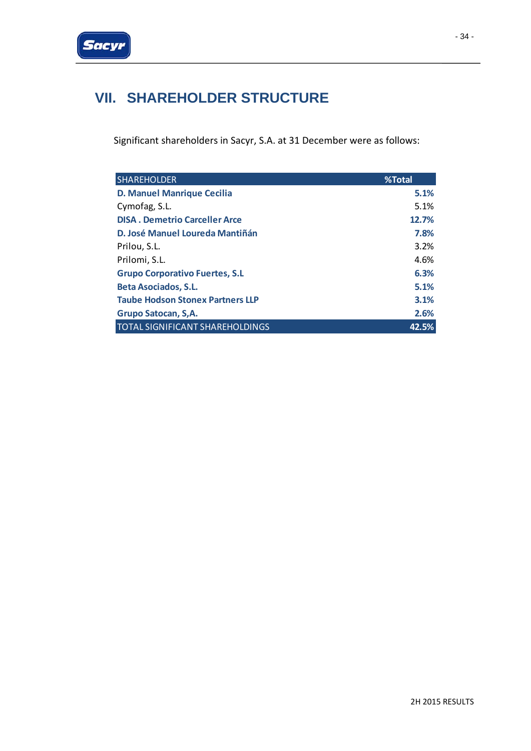

# **VII. SHAREHOLDER STRUCTURE**

Significant shareholders in Sacyr, S.A. at 31 December were as follows:

| <b>SHAREHOLDER</b>                      | %Total |
|-----------------------------------------|--------|
| <b>D. Manuel Manrique Cecilia</b>       | 5.1%   |
| Cymofag, S.L.                           | 5.1%   |
| <b>DISA. Demetrio Carceller Arce</b>    | 12.7%  |
| D. José Manuel Loureda Mantiñán         | 7.8%   |
| Prilou, S.L.                            | 3.2%   |
| Prilomi, S.L.                           | 4.6%   |
| <b>Grupo Corporativo Fuertes, S.L</b>   | 6.3%   |
| <b>Beta Asociados, S.L.</b>             | 5.1%   |
| <b>Taube Hodson Stonex Partners LLP</b> | 3.1%   |
| Grupo Satocan, S,A.                     | 2.6%   |
| <b>TOTAL SIGNIFICANT SHAREHOLDINGS</b>  | 42.5%  |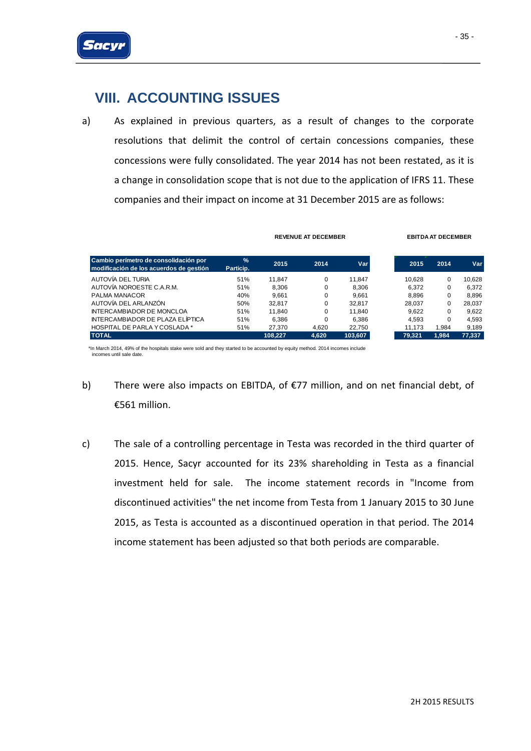

# **VIII. ACCOUNTING ISSUES**

a) As explained in previous quarters, as a result of changes to the corporate resolutions that delimit the control of certain concessions companies, these concessions were fully consolidated. The year 2014 has not been restated, as it is a change in consolidation scope that is not due to the application of IFRS 11. These companies and their impact on income at 31 December 2015 are as follows:

| Cambio perímetro de consolidación por<br>modificación de los acuerdos de gestión | $\frac{9}{6}$<br>Particip. | 2015    | 2014     | Var     | 2015   | 2014  | Var    |
|----------------------------------------------------------------------------------|----------------------------|---------|----------|---------|--------|-------|--------|
| AUTOVÍA DEL TURIA                                                                | 51%                        | 11.847  | $\Omega$ | 11.847  | 10.628 | 0     | 10.628 |
| AUTOVÍA NOROESTE C.A.R.M.                                                        | 51%                        | 8.306   | $\Omega$ | 8.306   | 6.372  | 0     | 6.372  |
| PALMA MANACOR                                                                    | 40%                        | 9.661   | 0        | 9.661   | 8.896  | 0     | 8.896  |
| AUTOVÍA DEL ARLANZÓN                                                             | 50%                        | 32.817  | $\Omega$ | 32.817  | 28.037 | 0     | 28.037 |
| <b>INTERCAMBIADOR DE MONCLOA</b>                                                 | 51%                        | 11.840  | $\Omega$ | 11.840  | 9.622  | 0     | 9.622  |
| INTERCAMBIADOR DE PLAZA ELÍPTICA                                                 | 51%                        | 6.386   | $\Omega$ | 6.386   | 4.593  | 0     | 4.593  |
| <b>HOSPITAL DE PARLA Y COSLADA *</b>                                             | 51%                        | 27.370  | 4.620    | 22.750  | 11.173 | 1.984 | 9.189  |
| <b>TOTAL</b>                                                                     |                            | 108.227 | 4.620    | 103,607 | 79,321 | 1,984 | 77.337 |

**REVENUE AT DECEMBER EBITDA AT DECEMBER**

\*In March 2014, 49% of the hospitals stake were sold and they started to be accounted by equity method. 2014 incomes include incomes until sale date.

- b) There were also impacts on EBITDA, of €77 million, and on net financial debt, of €561 million.
- c) The sale of a controlling percentage in Testa was recorded in the third quarter of 2015. Hence, Sacyr accounted for its 23% shareholding in Testa as a financial investment held for sale. The income statement records in "Income from discontinued activities" the net income from Testa from 1 January 2015 to 30 June 2015, as Testa is accounted as a discontinued operation in that period. The 2014 income statement has been adjusted so that both periods are comparable.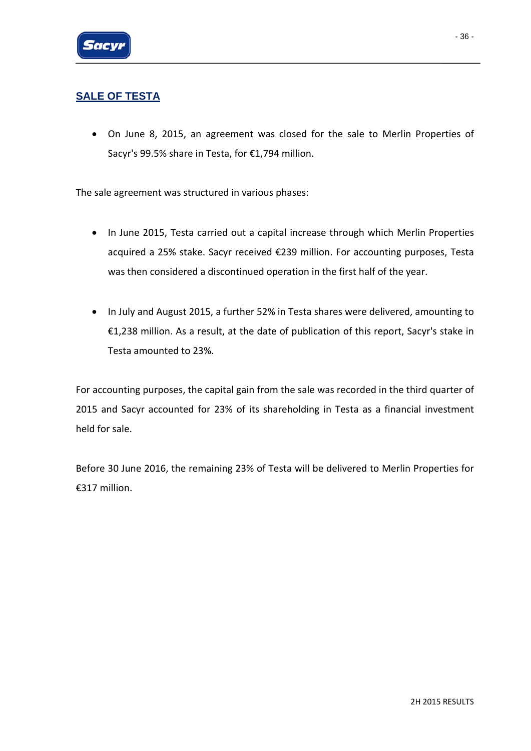

## **SALE OF TESTA**

• On June 8, 2015, an agreement was closed for the sale to Merlin Properties of Sacyr's 99.5% share in Testa, for €1,794 million.

The sale agreement was structured in various phases:

- In June 2015, Testa carried out a capital increase through which Merlin Properties acquired a 25% stake. Sacyr received €239 million. For accounting purposes, Testa was then considered a discontinued operation in the first half of the year.
- In July and August 2015, a further 52% in Testa shares were delivered, amounting to €1,238 million. As a result, at the date of publication of this report, Sacyr's stake in Testa amounted to 23%.

For accounting purposes, the capital gain from the sale was recorded in the third quarter of 2015 and Sacyr accounted for 23% of its shareholding in Testa as a financial investment held for sale.

Before 30 June 2016, the remaining 23% of Testa will be delivered to Merlin Properties for €317 million.